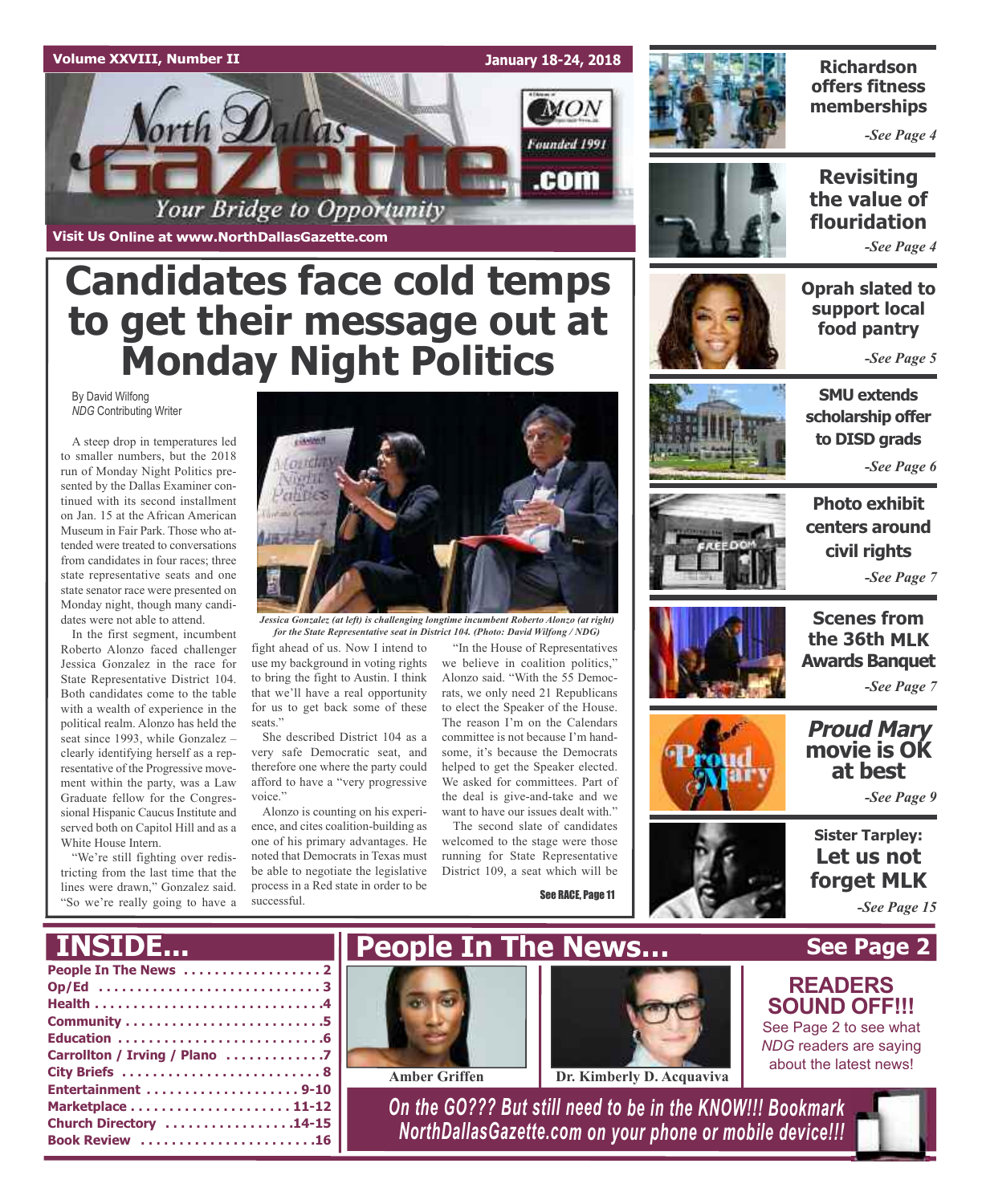### **Volume XXVIII, Number II January 18-24, 2018 MON** orth Dallas Founded 1991 .com Your Bridge to Opportunity

**Visit Us Online at www.NorthDallasGazette.com**

# **Candidates face cold temps to get their message out at Monday Night Politics**

By David Wilfong *NDG* Contributing Writer

A steep drop in temperatures led to smaller numbers, but the 2018 run of Monday Night Politics presented by the Dallas Examiner continued with its second installment on Jan. 15 at the African American Museum in Fair Park. Those who attended were treated to conversations from candidates in four races; three state representative seats and one state senator race were presented on Monday night, though many candidates were not able to attend.

In the first segment, incumbent Roberto Alonzo faced challenger Jessica Gonzalez in the race for State Representative District 104. Both candidates come to the table with a wealth of experience in the political realm. Alonzo has held the seat since 1993, while Gonzalez – clearly identifying herself as a representative of the Progressive movement within the party, was a Law Graduate fellow for the Congressional Hispanic Caucus Institute and served both on Capitol Hill and as a White House Intern.

"We're still fighting over redistricting from the last time that the lines were drawn," Gonzalez said. "So we're really going to have a



*Jessica Gonzalez (at left) is challenging longtime incumbent Roberto Alonzo (at right) for the State Representative seat in District 104. (Photo: David Wilfong / NDG)*

fight ahead of us. Now I intend to use my background in voting rights to bring the fight to Austin. I think that we'll have a real opportunity for us to get back some of these seats."

She described District 104 as a very safe Democratic seat, and therefore one where the party could afford to have a "very progressive voice."

Alonzo is counting on his experience, and cites coalition-building as one of his primary advantages. He noted that Democrats in Texas must be able to negotiate the legislative process in a Red state in order to be successful.

"In the House of Representatives we believe in coalition politics," Alonzo said. "With the 55 Democrats, we only need 21 Republicans to elect the Speaker of the House. The reason I'm on the Calendars committee is not because I'm handsome, it's because the Democrats helped to get the Speaker elected. We asked for committees. Part of the deal is give-and-take and we want to have our issues dealt with."

The second slate of candidates welcomed to the stage were those running for State Representative District 109, a seat which will be

See RACE, Page 11



### **Richardson offers fitness memberships**

*-See Page 4*

**Revisiting the value of flouridation**

*-See Page 4*

**Oprah slated to support local food pantry**

*-See Page 5*



*-See Page 6*

**Photo exhibit centers around civil rights** *-See Page 7*





*-See Page 7*

### **Proud Mary movie is OK at best**

*-See Page 9*

**Sister Tarpley: Let us not forget MLK**

**See Page 2**

**READERS SOUND OFF!!!** See Page 2 to see what *NDG* readers are saying about the latest news!

*-See Page 15*

### **INSIDE...**

| Carrollton / Irving / Plano 7 |
|-------------------------------|
|                               |
|                               |
|                               |
| Church Directory 14-15        |
| Book Review 16                |
|                               |





**Amber Griffen Dr. Kimberly D. Acquaviva**

*On the GO??? But still need to be in the KNOW!!! Bookmark NorthDallasGazette.com on your phone or mobile device!!!*

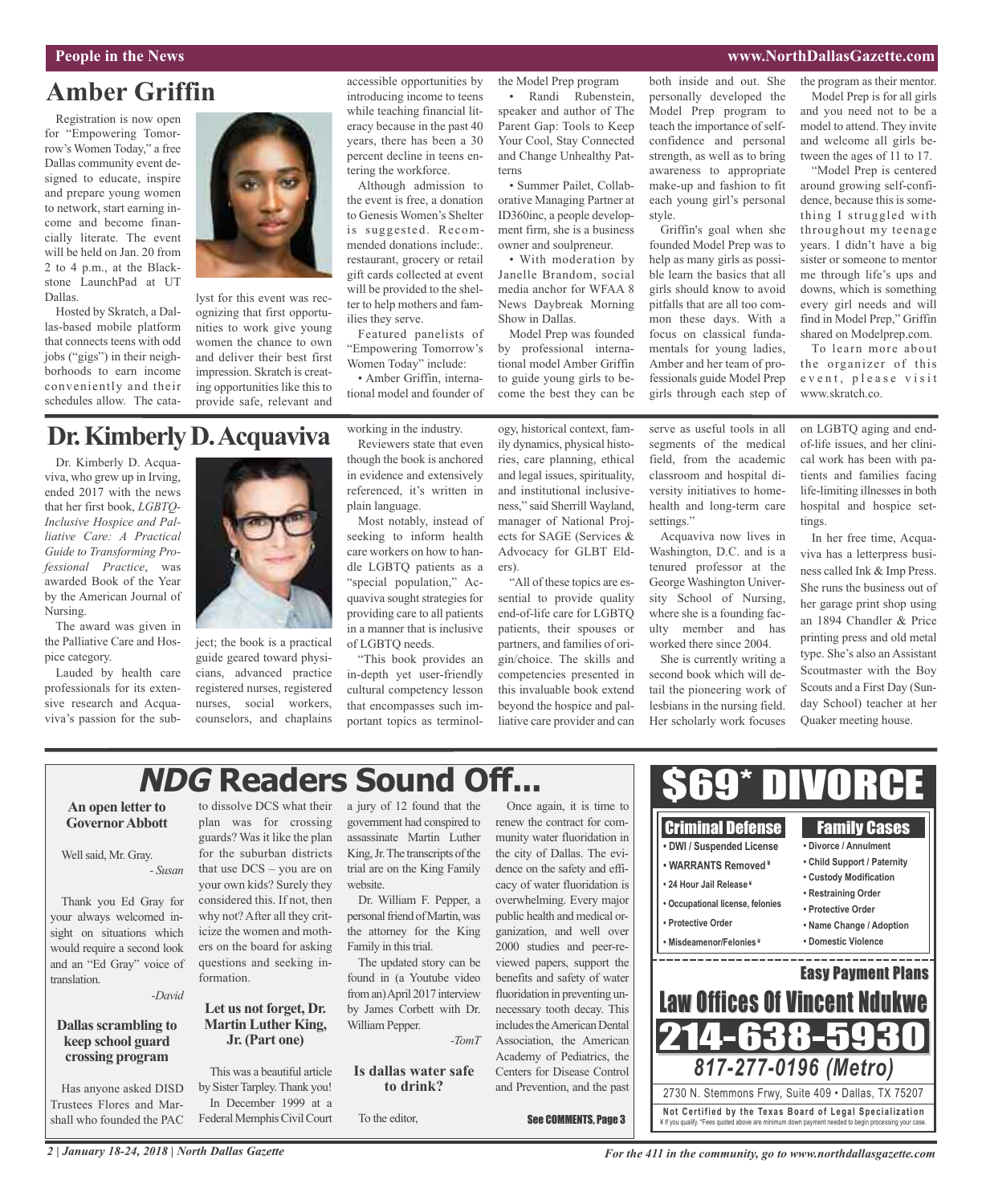### **People in the News www.NorthDallasGazette.com**

### **Amber Griffin**

Registration is now open for "Empowering Tomorrow's Women Today," a free Dallas community event designed to educate, inspire and prepare young women to network, start earning income and become financially literate. The event will be held on Jan. 20 from 2 to 4 p.m., at the Blackstone LaunchPad at UT Dallas.

Hosted by Skratch, a Dallas-based mobile platform that connects teens with odd jobs ("gigs") in their neighborhoods to earn income conveniently and their schedules allow. The cata-



lyst for this event was recognizing that first opportunities to work give young women the chance to own and deliver their best first impression. Skratch is creating opportunities like this to provide safe, relevant and

accessible opportunities by introducing income to teens while teaching financial literacy because in the past 40 years, there has been a 30 percent decline in teens entering the workforce.

Although admission to the event is free, a donation to Genesis Women's Shelter is suggested. Recommended donations include:. restaurant, grocery or retail gift cards collected at event will be provided to the shelter to help mothers and families they serve.

Featured panelists of "Empowering Tomorrow's Women Today" include:

• Amber Griffin, international model and founder of the Model Prep program • Randi Rubenstein,

speaker and author of The Parent Gap: Tools to Keep Your Cool, Stay Connected and Change Unhealthy Patterns

• Summer Pailet, Collaborative Managing Partner at ID360inc, a people development firm, she is a business owner and soulpreneur.

• With moderation by Janelle Brandom, social media anchor for WFAA 8 News Daybreak Morning Show in Dallas.

Model Prep was founded by professional international model Amber Griffin to guide young girls to become the best they can be both inside and out. She personally developed the Model Prep program to teach the importance of selfconfidence and personal strength, as well as to bring awareness to appropriate make-up and fashion to fit each young girl's personal style.

Griffin's goal when she founded Model Prep was to help as many girls as possible learn the basics that all girls should know to avoid pitfalls that are all too common these days. With a focus on classical fundamentals for young ladies, Amber and her team of professionals guide Model Prep girls through each step of the program as their mentor. Model Prep is for all girls and you need not to be a model to attend. They invite and welcome all girls between the ages of 11 to 17.

"Model Prep is centered around growing self-confidence, because this is something I struggled with throughout my teenage years. I didn't have a big sister or someone to mentor me through life's ups and downs, which is something every girl needs and will find in Model Prep," Griffin shared on Modelprep.com.

To learn more about the organizer of this event, please visit www.skratch.co.

### **Dr.KimberlyD.Acquaviva**

Dr. Kimberly D. Acquaviva, who grew up in Irving, ended 2017 with the news that her first book, *LGBTQ-Inclusive Hospice and Palliative Care: A Practical Guide to Transforming Professional Practice*, was awarded Book of the Year by the American Journal of Nursing.

The award was given in the Palliative Care and Hospice category.

Lauded by health care professionals for its extensive research and Acquaviva's passion for the sub-



ject; the book is a practical guide geared toward physicians, advanced practice registered nurses, registered nurses, social workers, counselors, and chaplains working in the industry. Reviewers state that even though the book is anchored in evidence and extensively referenced, it's written in plain language.

Most notably, instead of seeking to inform health care workers on how to handle LGBTQ patients as a "special population," Acquaviva sought strategies for providing care to all patients in a manner that is inclusive of LGBTQ needs.

"This book provides an in-depth yet user-friendly cultural competency lesson that encompasses such important topics as terminol-

ogy, historical context, family dynamics, physical histories, care planning, ethical and legal issues, spirituality, and institutional inclusiveness," said Sherrill Wayland, manager of National Projects for SAGE (Services & Advocacy for GLBT Elders).

"All of these topics are essential to provide quality end-of-life care for LGBTQ patients, their spouses or partners, and families of origin/choice. The skills and competencies presented in this invaluable book extend beyond the hospice and palliative care provider and can

serve as useful tools in all segments of the medical field, from the academic classroom and hospital diversity initiatives to homehealth and long-term care settings."

Acquaviva now lives in Washington, D.C. and is a tenured professor at the George Washington University School of Nursing, where she is a founding faculty member and has worked there since 2004.

She is currently writing a second book which will detail the pioneering work of lesbians in the nursing field. Her scholarly work focuses

on LGBTQ aging and endof-life issues, and her clinical work has been with patients and families facing life-limiting illnesses in both hospital and hospice settings.

In her free time, Acquaviva has a letterpress business called Ink & Imp Press. She runs the business out of her garage print shop using an 1894 Chandler & Price printing press and old metal type. She's also an Assistant Scoutmaster with the Boy Scouts and a First Day (Sunday School) teacher at her Quaker meeting house.

## **NDG Readers Sound Off...**

### **An open letter to GovernorAbbott**

Well said, Mr. Gray. *- Susan*

Thank you Ed Gray for your always welcomed insight on situations which would require a second look and an "Ed Gray" voice of translation.

*-David*

### **Dallas scrambling to keep school guard crossing program**

Has anyone asked DISD Trustees Flores and Marshall who founded the PAC to dissolve DCS what their plan was for crossing guards? Was it like the plan for the suburban districts that use DCS – you are on your own kids? Surely they considered this. If not, then why not? After all they criticize the women and mothers on the board for asking questions and seeking information.

### **Let us not forget, Dr. Martin Luther King, Jr. (Part one)**

This was a beautiful article by Sister Tarpley. Thank you! In December 1999 at a Federal Memphis Civil Court a jury of 12 found that the government had conspired to assassinate Martin Luther King, Jr. The transcripts of the trial are on the King Family website.

Dr. William F. Pepper, a personal friend of Martin, was the attorney for the King Family in this trial.

The updated story can be found in (a Youtube video froman)April 2017 interview by James Corbett with Dr. William Pepper. *-TomT*

### **Is dallas water safe to drink?**

To the editor,

Once again, it is time to renew the contract for community water fluoridation in the city of Dallas. The evidence on the safety and efficacy of water fluoridation is overwhelming. Every major public health and medical organization, and well over 2000 studies and peer-reviewed papers, support the benefits and safety of water fluoridation in preventing unnecessary tooth decay. This includes the American Dental Association, the American Academy of Pediatrics, the Centers for Disease Control and Prevention, and the past



**Not Ce rtified by the Te x a s Boa rd of Lega l Spe c ia l i za tion** ¥ If you qualify. \*Fees quoted above are minimum down payment needed to begin processing your case.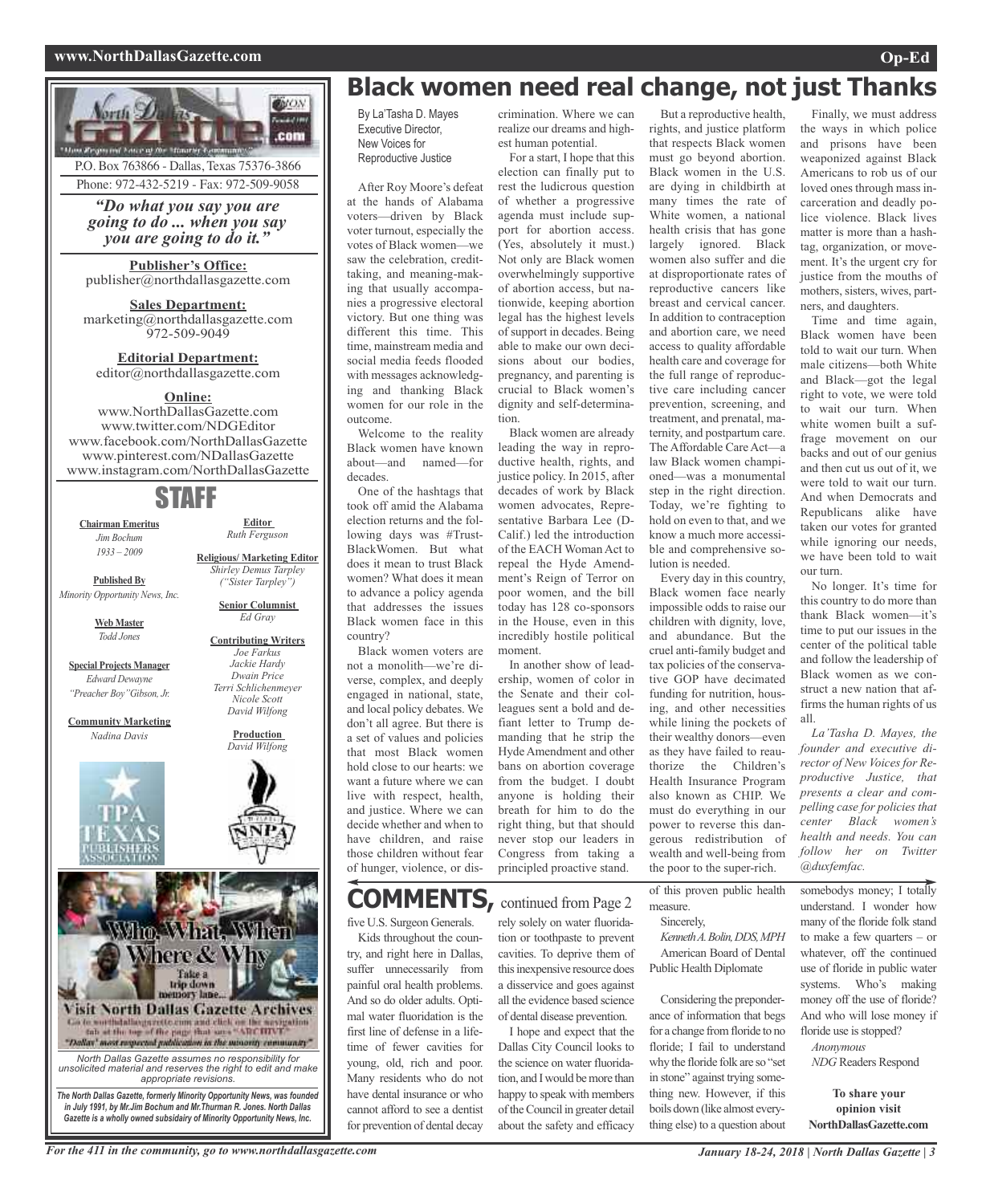### **www.NorthDallasGazette.com Op-Ed**





## **Black women need real change, not just Thanks**

By La'Tasha D. Mayes Executive Director, New Voices for Reproductive Justice

After Roy Moore's defeat at the hands of Alabama voters—driven by Black voter turnout, especially the votes of Black women—we saw the celebration, credittaking, and meaning-making that usually accompanies a progressive electoral victory. But one thing was different this time. This time, mainstream media and social media feeds flooded with messages acknowledging and thanking Black women for our role in the outcome.

Welcome to the reality Black women have known about—and named—for decades.

One of the hashtags that took off amid the Alabama election returns and the following days was #Trust-BlackWomen. But what does it mean to trust Black women? What does it mean to advance a policy agenda that addresses the issues Black women face in this country?

Black women voters are not a monolith—we're diverse, complex, and deeply engaged in national, state, and local policy debates. We don't all agree. But there is a set of values and policies that most Black women hold close to our hearts: we want a future where we can live with respect, health, and justice. Where we can decide whether and when to have children, and raise those children without fear of hunger, violence, or dis-

### **COMMENTS,** continued from Page <sup>2</sup>

five U.S. Surgeon Generals. Kids throughout the country, and right here in Dallas, suffer unnecessarily from painful oral health problems. And so do older adults. Optimal water fluoridation is the first line of defense in a lifetime of fewer cavities for young, old, rich and poor. Many residents who do not have dental insurance or who cannot afford to see a dentist for prevention of dental decay

crimination. Where we can realize our dreams and highest human potential.

For a start, I hope that this election can finally put to rest the ludicrous question of whether a progressive agenda must include support for abortion access. (Yes, absolutely it must.) Not only are Black women overwhelmingly supportive of abortion access, but nationwide, keeping abortion legal has the highest levels of support in decades. Being able to make our own decisions about our bodies, pregnancy, and parenting is crucial to Black women's dignity and self-determination.

Black women are already leading the way in reproductive health, rights, and justice policy. In 2015, after decades of work by Black women advocates, Representative Barbara Lee (D-Calif.) led the introduction of the EACH Woman Act to repeal the Hyde Amendment's Reign of Terror on poor women, and the bill today has 128 co-sponsors in the House, even in this incredibly hostile political moment.

In another show of leadership, women of color in the Senate and their colleagues sent a bold and defiant letter to Trump demanding that he strip the Hyde Amendment and other bans on abortion coverage from the budget. I doubt anyone is holding their breath for him to do the right thing, but that should never stop our leaders in Congress from taking a principled proactive stand.

rely solely on water fluoridation or toothpaste to prevent cavities. To deprive them of this inexpensive resource does a disservice and goes against all the evidence based science of dental disease prevention. I hope and expect that the Dallas City Council looks to the science on water fluoridation, and Iwould bemore than happy to speak with members of the Council in greater detail about the safety and efficacy

rights, and justice platform that respects Black women must go beyond abortion. Black women in the U.S. are dying in childbirth at many times the rate of White women, a national health crisis that has gone largely ignored. Black women also suffer and die at disproportionate rates of reproductive cancers like breast and cervical cancer. In addition to contraception and abortion care, we need access to quality affordable health care and coverage for the full range of reproductive care including cancer prevention, screening, and treatment, and prenatal, maternity, and postpartum care. The Affordable Care Act—a law Black women championed—was a monumental step in the right direction. Today, we're fighting to hold on even to that, and we know a much more accessible and comprehensive solution is needed.

But a reproductive health,

Every day in this country, Black women face nearly impossible odds to raise our children with dignity, love, and abundance. But the cruel anti-family budget and tax policies of the conservative GOP have decimated funding for nutrition, housing, and other necessities while lining the pockets of their wealthy donors—even as they have failed to reauthorize the Children's Health Insurance Program also known as CHIP. We must do everything in our power to reverse this dangerous redistribution of wealth and well-being from the poor to the super-rich.

of this proven public health measure.

Sincerely, *KennethA.Bolin,DDS,MPH* American Board of Dental

Public Health Diplomate

Considering the preponderance of information that begs for a change from floride to no floride; I fail to understand why the floride folk are so "set in stone" against trying something new. However, if this boils down (like almost everything else) to a question about

Finally, we must address the ways in which police and prisons have been weaponized against Black Americans to rob us of our loved ones through mass incarceration and deadly police violence. Black lives matter is more than a hashtag, organization, or movement. It's the urgent cry for justice from the mouths of mothers, sisters, wives, partners, and daughters.

Time and time again, Black women have been told to wait our turn. When male citizens—both White and Black—got the legal right to vote, we were told to wait our turn. When white women built a suffrage movement on our backs and out of our genius and then cut us out of it, we were told to wait our turn. And when Democrats and Republicans alike have taken our votes for granted while ignoring our needs, we have been told to wait our turn.

No longer. It's time for this country to do more than thank Black women—it's time to put our issues in the center of the political table and follow the leadership of Black women as we construct a new nation that affirms the human rights of us all.

*La'Tasha D. Mayes, the founder and executive director of New Voices for Reproductive Justice, that presents a clear and compelling case for policies that center Black women's health and needs. You can follow her on Twitter @duxfemfac.*

somebodys money; I totally understand. I wonder how many of the floride folk stand to make a few quarters – or whatever, off the continued use of floride in public water systems. Who's making money off the use of floride? And who will lose money if floride use is stopped?

*Anonymous NDG* Readers Respond

**To share your opinion visit NorthDallasGazette.com**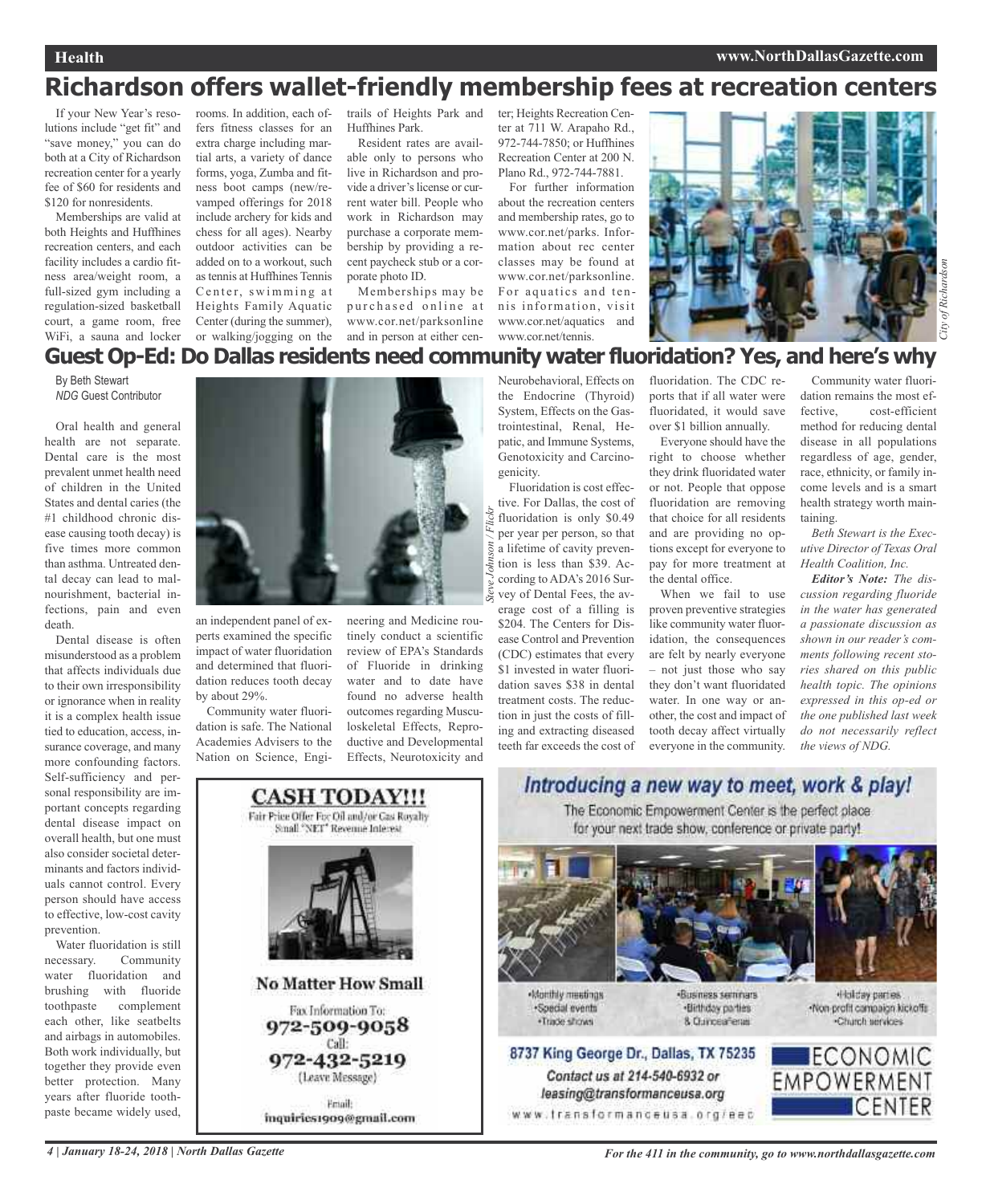### **Richardson offers wallet-friendly membership fees at recreation centers**

If your New Year's resolutions include "get fit" and "save money," you can do both at a City of Richardson recreation center for a yearly fee of \$60 for residents and \$120 for nonresidents.

Memberships are valid at both Heights and Huffhines recreation centers, and each facility includes a cardio fitness area/weight room, a full-sized gym including a regulation-sized basketball court, a game room, free WiFi, a sauna and locker rooms. In addition, each offers fitness classes for an extra charge including martial arts, a variety of dance forms, yoga, Zumba and fitness boot camps (new/revamped offerings for 2018 include archery for kids and chess for all ages). Nearby outdoor activities can be added on to a workout, such astennis at Huffhines Tennis Center, swimming at Heights Family Aquatic Center (during the summer), or walking/jogging on the

trails of Heights Park and Huffhines Park.

Resident rates are available only to persons who live in Richardson and provide a driver's license or current water bill. People who work in Richardson may purchase a corporate membership by providing a recent paycheck stub or a corporate photo ID.

Memberships may be purchased online at www.cor.net/parksonline and in person at either center; Heights Recreation Center at 711 W. Arapaho Rd., 972-744-7850; or Huffhines Recreation Center at 200 N. Plano Rd., 972-744-7881.

For further information about the recreation centers and membership rates, go to www.cor.net/parks. Information about rec center classes may be found at www.cor.net/parksonline. For aquatics and tennis information, visit www.cor.net/aquatics and www.cor.net/tennis.



### **Guest Op-Ed: Do Dallas residents need community water fluoridation? Yes, and here's why**

*Steve Johnson / Flickr*

By Beth Stewart *NDG* Guest Contributor

Oral health and general health are not separate. Dental care is the most prevalent unmet health need of children in the United States and dental caries (the #1 childhood chronic disease causing tooth decay) is five times more common than asthma. Untreated dental decay can lead to malnourishment, bacterial infections, pain and even death.

Dental disease is often misunderstood as a problem that affects individuals due to their own irresponsibility or ignorance when in reality it is a complex health issue tied to education, access, insurance coverage, and many more confounding factors. Self-sufficiency and personal responsibility are important concepts regarding dental disease impact on overall health, but one must also consider societal determinants and factors individuals cannot control. Every person should have access to effective, low-cost cavity prevention.

Water fluoridation is still necessary. Community water fluoridation and brushing with fluoride toothpaste complement each other, like seatbelts and airbags in automobiles. Both work individually, but together they provide even better protection. Many years after fluoride toothpaste became widely used,



an independent panel of experts examined the specific impact of water fluoridation and determined that fluoridation reduces tooth decay by about 29%.

Community water fluoridation is safe. The National Academies Advisers to the Nation on Science, Engi-

neering and Medicine routinely conduct a scientific review of EPA's Standards of Fluoride in drinking water and to date have found no adverse health outcomes regarding Musculoskeletal Effects, Reproductive and Developmental Effects, Neurotoxicity and

Neurobehavioral, Effects on the Endocrine (Thyroid) System, Effects on the Gastrointestinal, Renal, Hepatic, and Immune Systems, Genotoxicity and Carcinogenicity.

Fluoridation is cost effective. For Dallas, the cost of fluoridation is only \$0.49 per year per person, so that a lifetime of cavity prevention is less than \$39. According to ADA's 2016 Survey of Dental Fees, the average cost of a filling is \$204. The Centers for Disease Control and Prevention (CDC) estimates that every \$1 invested in water fluoridation saves \$38 in dental treatment costs. The reduction in just the costs of filling and extracting diseased teeth far exceeds the cost of

fluoridation. The CDC reports that if all water were fluoridated, it would save over \$1 billion annually.

Everyone should have the right to choose whether they drink fluoridated water or not. People that oppose fluoridation are removing that choice for all residents and are providing no options except for everyone to pay for more treatment at the dental office.

When we fail to use proven preventive strategies like community water fluoridation, the consequences are felt by nearly everyone – not just those who say they don't want fluoridated water. In one way or another, the cost and impact of tooth decay affect virtually everyone in the community.

Community water fluoridation remains the most effective, cost-efficient method for reducing dental disease in all populations regardless of age, gender, race, ethnicity, or family income levels and is a smart health strategy worth maintaining.

*Beth Stewart is the Executive Director of Texas Oral Health Coalition, Inc.*

*Editor's Note: The discussion regarding fluoride in the water has generated a passionate discussion as shown in our reader's comments following recent stories shared on this public health topic. The opinions expressed in this op-ed or the one published last week do not necessarily reflect the views of NDG.*



inquiries1909@gmail.com

Introducing a new way to meet, work & play! The Economic Empowerment Center is the perfect place. for your next trade show, conference or private party!



Monthly meetings ·Special events ·Trade shows

Contact us at 214-540-6932 or

leasing@transformanceusa.org

Business seminars ·Birthday parties 8 Currosaferas

Holday parties -Non-profit compaign kicketts Charch services

### ECONOMIC **EMPOWERMENT CENTER**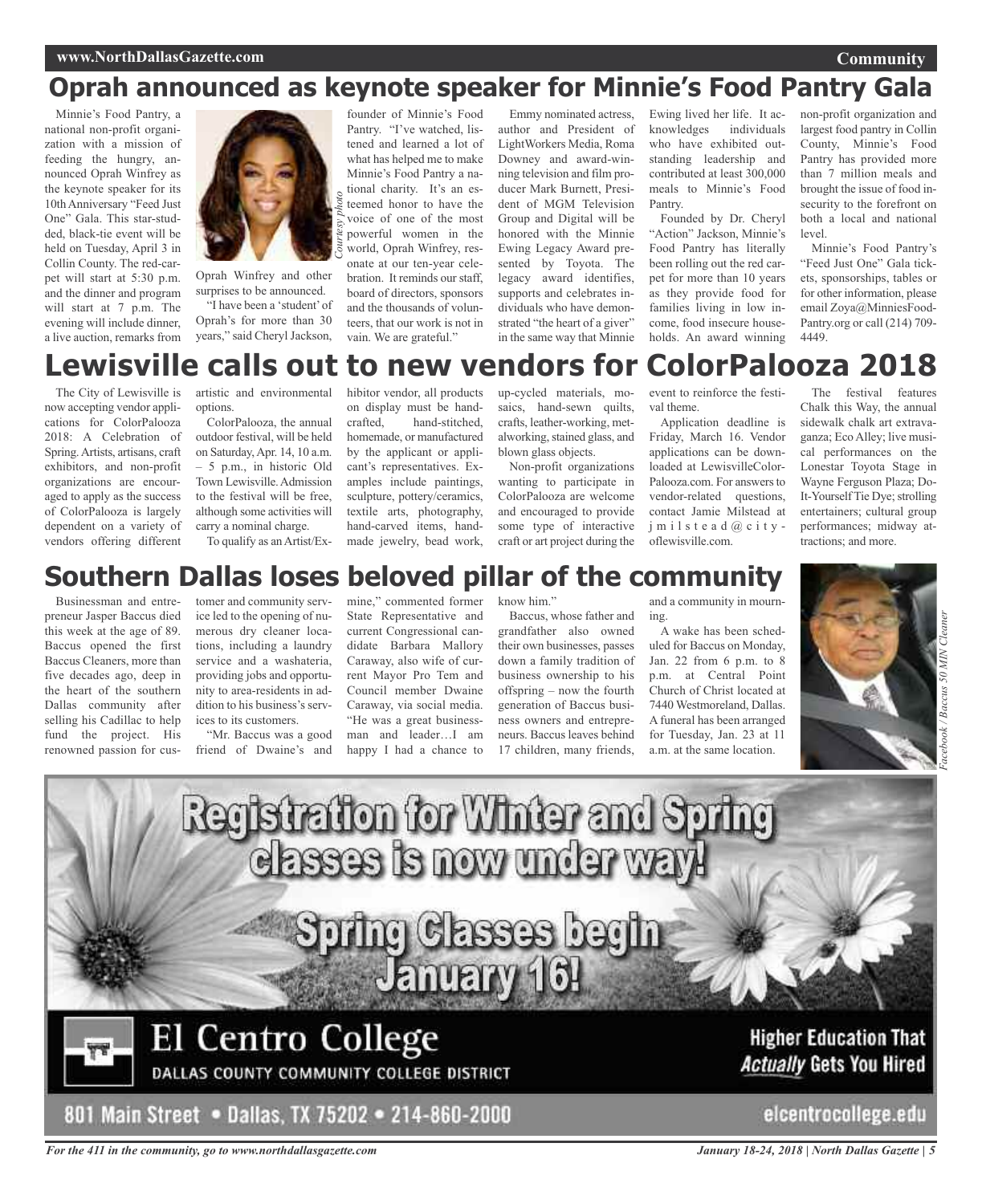## **Oprah announced as keynote speaker for Minnie's Food Pantry Gala**

Minnie's Food Pantry, a national non-profit organization with a mission of feeding the hungry, announced Oprah Winfrey as the keynote speaker for its 10thAnniversary "Feed Just One" Gala. This star-studded, black-tie event will be held on Tuesday, April 3 in Collin County. The red-carpet will start at 5:30 p.m. and the dinner and program will start at 7 p.m. The evening will include dinner, a live auction, remarks from



Oprah Winfrey and other surprises to be announced. "I have been a 'student'of

Oprah's for more than 30 years," said Cheryl Jackson,

founder of Minnie's Food Pantry. "I've watched, listened and learned a lot of what has helped me to make Minnie's Food Pantry a national charity. It's an esteemed honor to have the voice of one of the most powerful women in the world, Oprah Winfrey, resonate at our ten-year celebration. It reminds our staff, board of directors, sponsors and the thousands of volunteers, that our work is not in vain. We are grateful."

Emmy nominated actress, author and President of LightWorkers Media, Roma Downey and award-winning television and film producer Mark Burnett, President of MGM Television Group and Digital will be honored with the Minnie Ewing Legacy Award presented by Toyota. The legacy award identifies, supports and celebrates individuals who have demonstrated "the heart of a giver" in the same way that Minnie

Ewing lived her life. It acknowledges individuals who have exhibited outstanding leadership and contributed at least 300,000 meals to Minnie's Food Pantry.

Founded by Dr. Cheryl 'Action'' Jackson, Minnie's Food Pantry has literally been rolling out the red carpet for more than 10 years as they provide food for families living in low income, food insecure households. An award winning

non-profit organization and largest food pantry in Collin County, Minnie's Food Pantry has provided more than 7 million meals and brought the issue of food insecurity to the forefront on both a local and national level.

**Community**

Minnie's Food Pantry's "Feed Just One" Gala tickets, sponsorships, tables or for other information, please email Zoya@MinniesFood-Pantry.org or call (214) 709- 4449.

## **Lewisville calls out to new vendors for ColorPalooza 2018**

The City of Lewisville is now accepting vendor applications for ColorPalooza 2018: A Celebration of Spring.Artists, artisans, craft exhibitors, and non-profit organizations are encouraged to apply as the success of ColorPalooza is largely dependent on a variety of vendors offering different

artistic and environmental options.

ColorPalooza, the annual outdoor festival, will be held on Saturday,Apr. 14, 10 a.m. – 5 p.m., in historic Old Town Lewisville.Admission to the festival will be free, although some activities will carry a nominal charge.

To qualify as an Artist/Ex-

hibitor vendor, all products on display must be handcrafted, hand-stitched, homemade, or manufactured by the applicant or applicant's representatives. Examples include paintings, sculpture, pottery/ceramics, textile arts, photography, hand-carved items, handmade jewelry, bead work,

up-cycled materials, mosaics, hand-sewn quilts, crafts, leather-working, metalworking, stained glass, and blown glass objects.

Non-profit organizations wanting to participate in ColorPalooza are welcome and encouraged to provide some type of interactive craft or art project during the event to reinforce the festival theme.

Application deadline is Friday, March 16. Vendor applications can be downloaded at LewisvilleColor-Palooza.com. For answers to vendor-related questions, contact Jamie Milstead at j m i l s t e a d @ c i t y oflewisville.com.

The festival features Chalk this Way, the annual sidewalk chalk art extravaganza; EcoAlley; live musical performances on the Lonestar Toyota Stage in Wayne Ferguson Plaza; Do-It-Yourself Tie Dye; strolling entertainers; cultural group performances; midway attractions; and more.

## **Southern Dallas loses beloved pillar of the community**

Businessman and entrepreneur Jasper Baccus died this week at the age of 89. Baccus opened the first Baccus Cleaners, more than five decades ago, deep in the heart of the southern Dallas community after selling his Cadillac to help fund the project. His renowned passion for cus-

tomer and community service led to the opening of numerous dry cleaner locations, including a laundry service and a washateria, providing jobs and opportunity to area-residents in addition to his business's services to its customers.

"Mr. Baccus was a good friend of Dwaine's and

mine," commented former State Representative and current Congressional candidate Barbara Mallory Caraway, also wife of current Mayor Pro Tem and Council member Dwaine Caraway, via social media. "He was a great businessman and leader…I am happy I had a chance to

know him."

Baccus, whose father and grandfather also owned their own businesses, passes down a family tradition of business ownership to his offspring – now the fourth generation of Baccus business owners and entrepreneurs. Baccus leaves behind 17 children, many friends,

and a community in mourning.

A wake has been scheduled for Baccus on Monday, Jan. 22 from 6 p.m. to 8 p.m. at Central Point Church of Christ located at 7440 Westmoreland, Dallas. A funeral has been arranged for Tuesday, Jan. 23 at 11 a.m. at the same location.







*For the 411 in the community, go to www.northdallasgazette.com*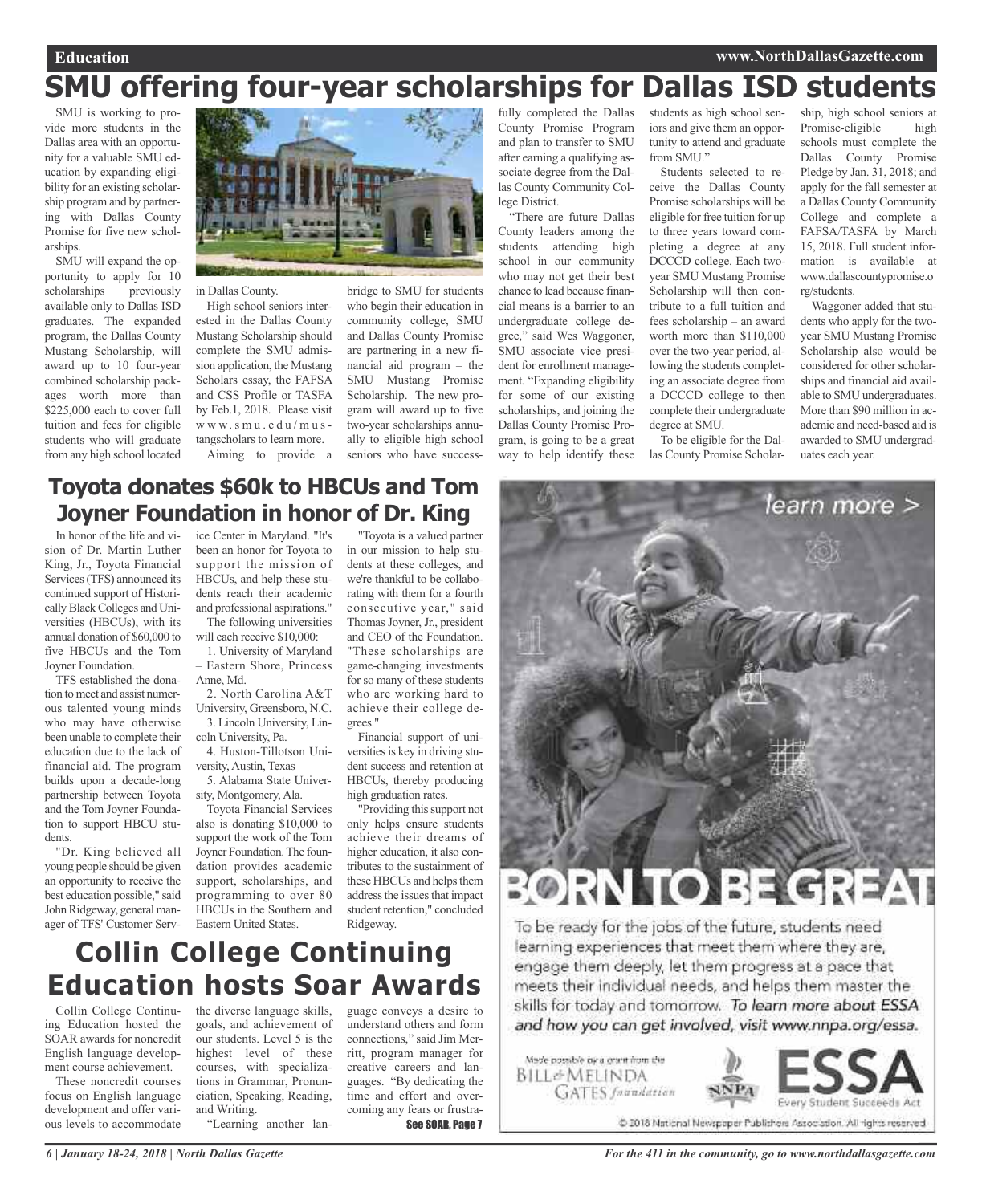## **SMU offering four-year scholarships for Dallas ISD students**

SMU is working to provide more students in the Dallas area with an opportunity for a valuable SMU education by expanding eligibility for an existing scholarship program and by partnering with Dallas County Promise for five new scholarships

SMU will expand the opportunity to apply for 10<br>scholarships previously scholarships available only to Dallas ISD graduates. The expanded program, the Dallas County Mustang Scholarship, will award up to 10 four-year combined scholarship packages worth more than \$225,000 each to cover full tuition and fees for eligible students who will graduate from any high school located



in Dallas County.

High school seniors interested in the Dallas County Mustang Scholarship should complete the SMU admission application, the Mustang Scholars essay, the FAFSA and CSS Profile or TASFA by Feb.1, 2018. Please visit w w w. s m u . e d u / m u s tangscholars to learn more. Aiming to provide a

bridge to SMU for students who begin their education in community college, SMU and Dallas County Promise are partnering in a new financial aid program – the SMU Mustang Promise Scholarship. The new program will award up to five two-year scholarships annually to eligible high school seniors who have success-

#### fully completed the Dallas County Promise Program and plan to transfer to SMU after earning a qualifying associate degree from the Dallas County Community College District.

"There are future Dallas County leaders among the students attending high school in our community who may not get their best chance to lead because financial means is a barrier to an undergraduate college degree," said Wes Waggoner, SMU associate vice president for enrollment management. "Expanding eligibility for some of our existing scholarships, and joining the Dallas County Promise Program, is going to be a great way to help identify these

students as high school seniors and give them an opportunity to attend and graduate from SMU."

Students selected to receive the Dallas County Promise scholarships will be eligible for free tuition for up to three years toward completing a degree at any DCCCD college. Each twoyear SMU Mustang Promise Scholarship will then contribute to a full tuition and fees scholarship – an award worth more than \$110,000 over the two-year period, allowing the students completing an associate degree from a DCCCD college to then complete their undergraduate degree at SMU.

To be eligible for the Dallas County Promise Scholar-

ship, high school seniors at Promise-eligible high schools must complete the Dallas County Promise Pledge by Jan. 31, 2018; and apply for the fall semester at a Dallas County Community College and complete a FAFSA/TASFA by March 15, 2018. Full student information is available at www.dallascountypromise.o rg/students.

Waggoner added that students who apply for the twoyear SMU Mustang Promise Scholarship also would be considered for other scholarships and financial aid available to SMU undergraduates. More than \$90 million in academic and need-based aid is awarded to SMU undergraduates each year.

learn more >

### **Toyota donates \$60k to HBCUs and Tom Joyner Foundation in honor of Dr. King**

In honor of the life and vision of Dr. Martin Luther King, Jr., Toyota Financial Services(TFS) announced its continued support of Historically Black Colleges and Universities (HBCUs), with its annual donation of \$60,000 to five HBCUs and the Tom Joyner Foundation.

TFS established the donation to meet and assist numerous talented young minds who may have otherwise been unable to complete their education due to the lack of financial aid. The program builds upon a decade-long partnership between Toyota and the Tom Joyner Foundation to support HBCU students.

"Dr. King believed all young people should be given an opportunity to receive the best education possible," said John Ridgeway, general manager of TFS' Customer Service Center in Maryland. "It's been an honor for Toyota to support the mission of HBCUs, and help these students reach their academic and professional aspirations." The following universities

will each receive \$10,000: 1. University of Maryland

– Eastern Shore, Princess Anne, Md.

2. North Carolina A&T University, Greensboro, N.C. 3. Lincoln University, Lin-

coln University, Pa. 4. Huston-Tillotson Uni-

versity, Austin, Texas 5. Alabama State University, Montgomery, Ala.

Toyota Financial Services also is donating \$10,000 to support the work of the Tom Joyner Foundation. The foundation provides academic support, scholarships, and programming to over 80 HBCUs in the Southern and Eastern United States.

"Toyota is a valued partner in our mission to help students at these colleges, and we're thankful to be collaborating with them for a fourth consecutive year," said Thomas Joyner, Jr., president and CEO of the Foundation. "These scholarships are game-changing investments for so many of these students who are working hard to achieve their college degrees."

Financial support of universities is key in driving student success and retention at HBCUs, thereby producing high graduation rates.

"Providing this support not only helps ensure students achieve their dreams of higher education, it also contributes to the sustainment of these HBCUs and helps them address the issues that impact student retention," concluded Ridgeway.



To be ready for the jobs of the future, students need learning experiences that meet them where they are, engage them deeply, let them progress at a pace that meets their individual needs, and helps them master the skills for today and tomorrow. To learn more about ESSA and how you can get involved, visit www.nnpa.org/essa.



Collin College Continuing Education hosted the SOAR awards for noncredit English language development course achievement.

These noncredit courses focus on English language development and offer various levels to accommodate

the diverse language skills, goals, and achievement of our students. Level 5 is the highest level of these courses, with specializations in Grammar, Pronunciation, Speaking, Reading, and Writing.

"Learning another lan-

guage conveys a desire to understand others and form connections," said Jim Merritt, program manager for creative careers and languages. "By dedicating the time and effort and overcoming any fears or frustra-See SOAR, Page 7



@ 2018 National Newspaper Publishers Association. All rights reserved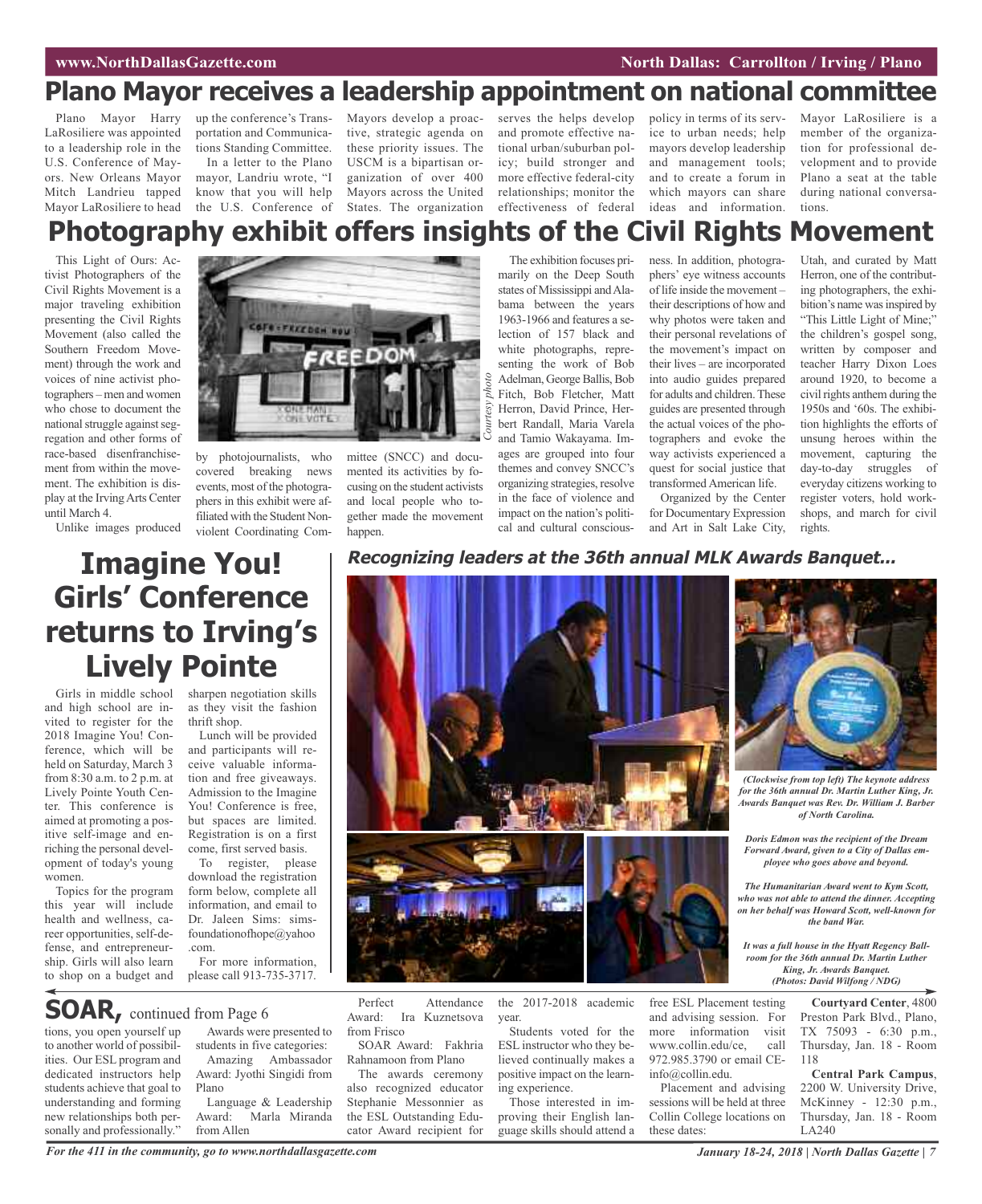### **Plano Mayor receives a leadership appointment on national committee**

Plano Mayor Harry LaRosiliere was appointed to a leadership role in the U.S. Conference of Mayors. New Orleans Mayor Mitch Landrieu tapped Mayor LaRosiliere to head

up the conference's Transportation and Communications Standing Committee. In a letter to the Plano

mayor, Landriu wrote, "I know that you will help the U.S. Conference of

Mayors develop a proactive, strategic agenda on these priority issues. The USCM is a bipartisan organization of over 400 Mayors across the United States. The organization

serves the helps develop and promote effective national urban/suburban policy; build stronger and more effective federal-city relationships; monitor the effectiveness of federal

policy in terms of its service to urban needs; help mayors develop leadership and management tools; and to create a forum in which mayors can share ideas and information.

Mayor LaRosiliere is a member of the organization for professional development and to provide Plano a seat at the table during national conversations.

## **Photography exhibit offers insights of the Civil Rights Movement**

*Courtesy*

*photo*

This Light of Ours: Activist Photographers of the Civil Rights Movement is a major traveling exhibition presenting the Civil Rights Movement (also called the Southern Freedom Movement) through the work and voices of nine activist photographers – men and women who chose to document the national struggle against segregation and other forms of race-based disenfranchisement from within the movement. The exhibition is display at the IrvingArts Center until March 4.

Unlike images produced



by photojournalists, who covered breaking news events, most of the photographers in this exhibit were affiliated with the Student Nonviolent Coordinating Com-

mittee (SNCC) and documented its activities by focusing on the student activists and local people who together made the movement happen.

The exhibition focuses primarily on the Deep South states of Mississippi and Alabama between the years 1963-1966 and features a selection of 157 black and white photographs, representing the work of Bob Adelman, George Ballis, Bob Fitch, Bob Fletcher, Matt Herron, David Prince, Herbert Randall, Maria Varela and Tamio Wakayama. Images are grouped into four themes and convey SNCC's organizing strategies, resolve in the face of violence and impact on the nation's politi-

cal and cultural conscious-

ness. In addition, photographers' eye witness accounts of life inside the movement – their descriptions of how and why photos were taken and their personal revelations of the movement's impact on their lives – are incorporated into audio guides prepared for adults and children.These guides are presented through the actual voices of the photographers and evoke the way activists experienced a quest for social justice that transformed American life.

Organized by the Center for Documentary Expression and Art in Salt Lake City,

Utah, and curated by Matt Herron, one of the contributing photographers, the exhibition's name was inspired by

"This Little Light of Mine;" the children's gospel song, written by composer and teacher Harry Dixon Loes around 1920, to become a civil rights anthem during the 1950s and '60s. The exhibition highlights the efforts of unsung heroes within the movement, capturing the day-to-day struggles of everyday citizens working to register voters, hold workshops, and march for civil rights.

## **Imagine You! Girls' Conference returns to Irving's Lively Pointe**

Girls in middle school and high school are invited to register for the 2018 Imagine You! Conference, which will be held on Saturday, March 3 from 8:30 a.m. to 2 p.m. at Lively Pointe Youth Center. This conference is aimed at promoting a positive self-image and enriching the personal development of today's young women.

Topics for the program this year will include health and wellness, career opportunities, self-defense, and entrepreneurship. Girls will also learn to shop on a budget and

tions, you open yourself up to another world of possibilities. Our ESL program and dedicated instructors help students achieve that goal to understanding and forming new relationships both personally and professionally."

**SOAR,** continued from Page <sup>6</sup>

sharpen negotiation skills as they visit the fashion thrift shop.

Lunch will be provided and participants will receive valuable information and free giveaways. Admission to the Imagine You! Conference is free, but spaces are limited. Registration is on a first come, first served basis.

To register, please download the registration form below, complete all information, and email to Dr. Jaleen Sims: simsfoundationofhope@yahoo .com.

For more information, please call 913-735-3717.

Awards were presented to students in five categories: Amazing Ambassador Award: Jyothi Singidi from

Language & Leadership<br>Award: Marla Miranda Marla Miranda

### **Recognizing leaders at the 36th annual MLK Awards Banquet...**



Perfect Attendance Award: Ira Kuznetsova from Frisco

SOAR Award: Fakhria Rahnamoon from Plano

The awards ceremony also recognized educator Stephanie Messonnier as the ESL Outstanding Educator Award recipient for

the 2017-2018 academic year.

Students voted for the ESL instructor who they believed continually makes a positive impact on the learning experience.

Those interested in improving their English language skills should attend a free ESL Placement testing and advising session. For more information visit www.collin.edu/ce, call 972.985.3790 or email CE $info@collin.edu$ 

Placement and advising sessions will be held at three Collin College locations on these dates:

*(Clockwise from top left) The keynote address for the 36th annual Dr. Martin Luther King, Jr. Awards Banquet was Rev. Dr. William J. Barber of North Carolina.*

*Doris Edmon was the recipient of the Dream Forward Award, given to a City of Dallas employee who goes above and beyond.*

*The Humanitarian Award went to Kym Scott, who was not able to attend the dinner. Accepting on her behalf was Howard Scott, well-known for the band War.*

*It was a full house in the Hyatt Regency Ballroom for the 36th annual Dr. Martin Luther King, Jr. Awards Banquet. (Photos: David Wilfong / NDG)*

> **Courtyard Center**, 4800 Preston Park Blvd., Plano, TX 75093 - 6:30 p.m., Thursday, Jan. 18 - Room 118

> **Central Park Campus**, 2200 W. University Drive, McKinney - 12:30 p.m., Thursday, Jan. 18 - Room LA240

from Allen

Plano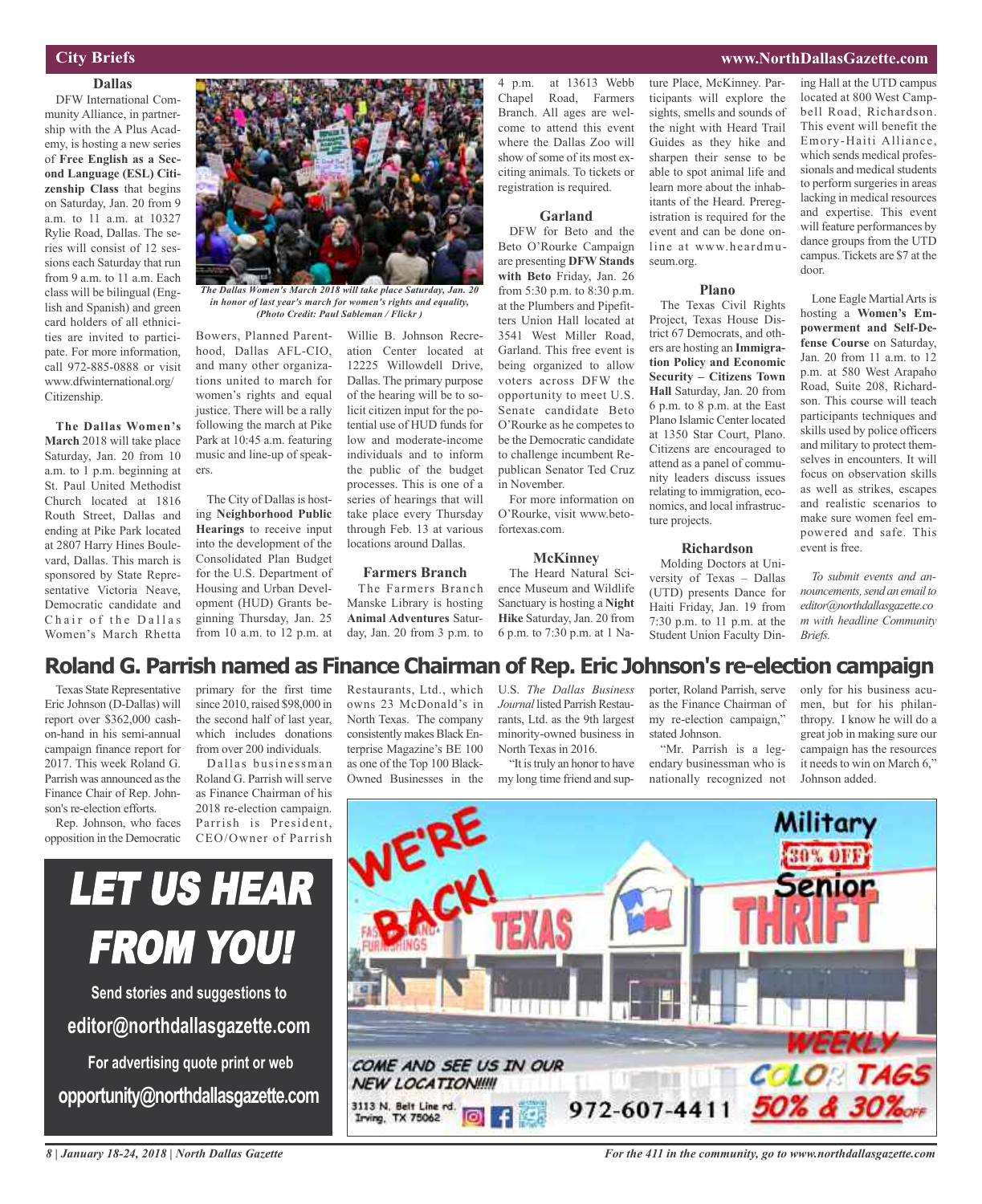### **City Briefs**

### **Dallas**

DFW International Community Alliance, in partnership with the A Plus Academy, is hosting a new series of **Free English as a Second Language (ESL) Citizenship Class** that begins on Saturday, Jan. 20 from 9 a.m. to 11 a.m. at 10327 Rylie Road, Dallas. The series will consist of 12 sessions each Saturday that run from 9 a.m. to 11 a.m. Each class will be bilingual (English and Spanish) and green card holders of all ethnicities are invited to participate. For more information, call 972-885-0888 or visit www.dfwinternational.org/ Citizenship.

**The Dallas Women's March** 2018 will take place Saturday, Jan. 20 from 10 a.m. to 1 p.m. beginning at St. Paul United Methodist Church located at 1816 Routh Street, Dallas and ending at Pike Park located at 2807 Harry Hines Boulevard, Dallas. This march is sponsored by State Representative Victoria Neave, Democratic candidate and Chair of the Dallas Women's March Rhetta



*The Dallas Women's March 2018 will take place Saturday, Jan. 20 in honor of last year's march for women's rights and equality, (Photo Credit: Paul Sableman / Flickr )*

Bowers, Planned Parenthood, Dallas AFL-CIO, and many other organizations united to march for women's rights and equal justice. There will be a rally following the march at Pike Park at 10:45 a.m. featuring music and line-up of speakers.

The City of Dallas is hosting **Neighborhood Public Hearings** to receive input into the development of the Consolidated Plan Budget for the U.S. Department of Housing and Urban Development (HUD) Grants beginning Thursday, Jan. 25 from 10 a.m. to 12 p.m. at

Willie B. Johnson Recreation Center located at 12225 Willowdell Drive, Dallas. The primary purpose of the hearing will be to solicit citizen input for the potential use of HUD funds for low and moderate-income individuals and to inform the public of the budget processes. This is one of a series of hearings that will take place every Thursday through Feb. 13 at various locations around Dallas.

#### **Farmers Branch**

The Farmers Branch Manske Library is hosting **Animal Adventures** Saturday, Jan. 20 from 3 p.m. to

4 p.m. at 13613 Webb Chapel Road, Farmers Branch. All ages are welcome to attend this event where the Dallas Zoo will show of some of its most exciting animals. To tickets or registration is required.

#### **Garland**

DFW for Beto and the Beto O'Rourke Campaign are presenting **DFW Stands with Beto** Friday, Jan. 26 from 5:30 p.m. to 8:30 p.m. at the Plumbers and Pipefitters Union Hall located at 3541 West Miller Road, Garland. This free event is being organized to allow voters across DFW the opportunity to meet U.S. Senate candidate Beto O'Rourke as he competes to be the Democratic candidate to challenge incumbent Republican Senator Ted Cruz in November.

For more information on O'Rourke, visit www.betofortexas.com.

#### **McKinney**

The Heard Natural Science Museum and Wildlife Sanctuary is hosting a **Night Hike** Saturday, Jan. 20 from 6 p.m. to 7:30 p.m. at 1 Nature Place, McKinney. Participants will explore the sights, smells and sounds of the night with Heard Trail Guides as they hike and sharpen their sense to be able to spot animal life and learn more about the inhabitants of the Heard. Preregistration is required for the event and can be done online at www.heardmuseum.org.

#### **Plano**

The Texas Civil Rights Project, Texas House District 67 Democrats, and others are hosting an **Immigration Policy and Economic Security – Citizens Town Hall** Saturday, Jan. 20 from 6 p.m. to 8 p.m. at the East Plano Islamic Center located at 1350 Star Court, Plano. Citizens are encouraged to attend as a panel of community leaders discuss issues relating to immigration, economics, and local infrastructure projects.

#### **Richardson**

Molding Doctors at University of Texas – Dallas (UTD) presents Dance for Haiti Friday, Jan. 19 from 7:30 p.m. to 11 p.m. at the Student Union Faculty Dining Hall at the UTD campus located at 800 West Campbell Road, Richardson. This event will benefit the Emory-Haiti Alliance, which sends medical professionals and medical students to perform surgeries in areas lacking in medical resources and expertise. This event will feature performances by dance groups from the UTD campus. Tickets are \$7 at the door.

Lone Eagle Martial Arts is hosting a **Women's Empowerment and Self-Defense Course** on Saturday, Jan. 20 from 11 a.m. to 12 p.m. at 580 West Arapaho Road, Suite 208, Richardson. This course will teach participants techniques and skills used by police officers and military to protect themselves in encounters. It will focus on observation skills as well as strikes, escapes and realistic scenarios to make sure women feel empowered and safe. This event is free.

*To submit events and announcements,send an emailto editor@northdallasgazette.co m with headline Community Briefs.*

### **Roland G. Parrish named as Finance Chairman of Rep. Eric Johnson's re-election campaign**

Texas State Representative Eric Johnson (D-Dallas) will report over \$362,000 cashon-hand in his semi-annual campaign finance report for 2017. This week Roland G. Parrish was announced asthe Finance Chair of Rep. Johnson's re-election efforts.

Rep. Johnson, who faces opposition in the Democratic

primary for the first time since 2010, raised \$98,000 in the second half of last year, which includes donations from over 200 individuals.

Dallas businessman Roland G. Parrish will serve as Finance Chairman of his 2018 re-election campaign. Parrish is President, CEO/Owner of Parrish

Restaurants, Ltd., which owns 23 McDonald's in North Texas. The company consistently makes Black Enterprise Magazine's BE 100 as one of the Top 100 Black-Owned Businesses in the

U.S. *The Dallas Business Journal* listed Parrish Restaurants, Ltd. as the 9th largest minority-owned business in North Texas in 2016.

"It is truly an honor to have my long time friend and supporter, Roland Parrish, serve as the Finance Chairman of my re-election campaign," stated Johnson.

"Mr. Parrish is a legendary businessman who is nationally recognized not only for his business acumen, but for his philanthropy. I know he will do a great job in making sure our campaign has the resources it needs to win on March 6," Johnson added.



*8 | January 18-24, 2018 | North Dallas Gazette*

LET US HEAR

FROM YOU!

**Send stories and suggestions to**

**editor@northdallasgazette.com**

**For advertising quote print or web**

**opportunity@northdallasgazette.com**

*For the 411 in the community, go to www.northdallasgazette.com*

### **www.NorthDallasGazette.com**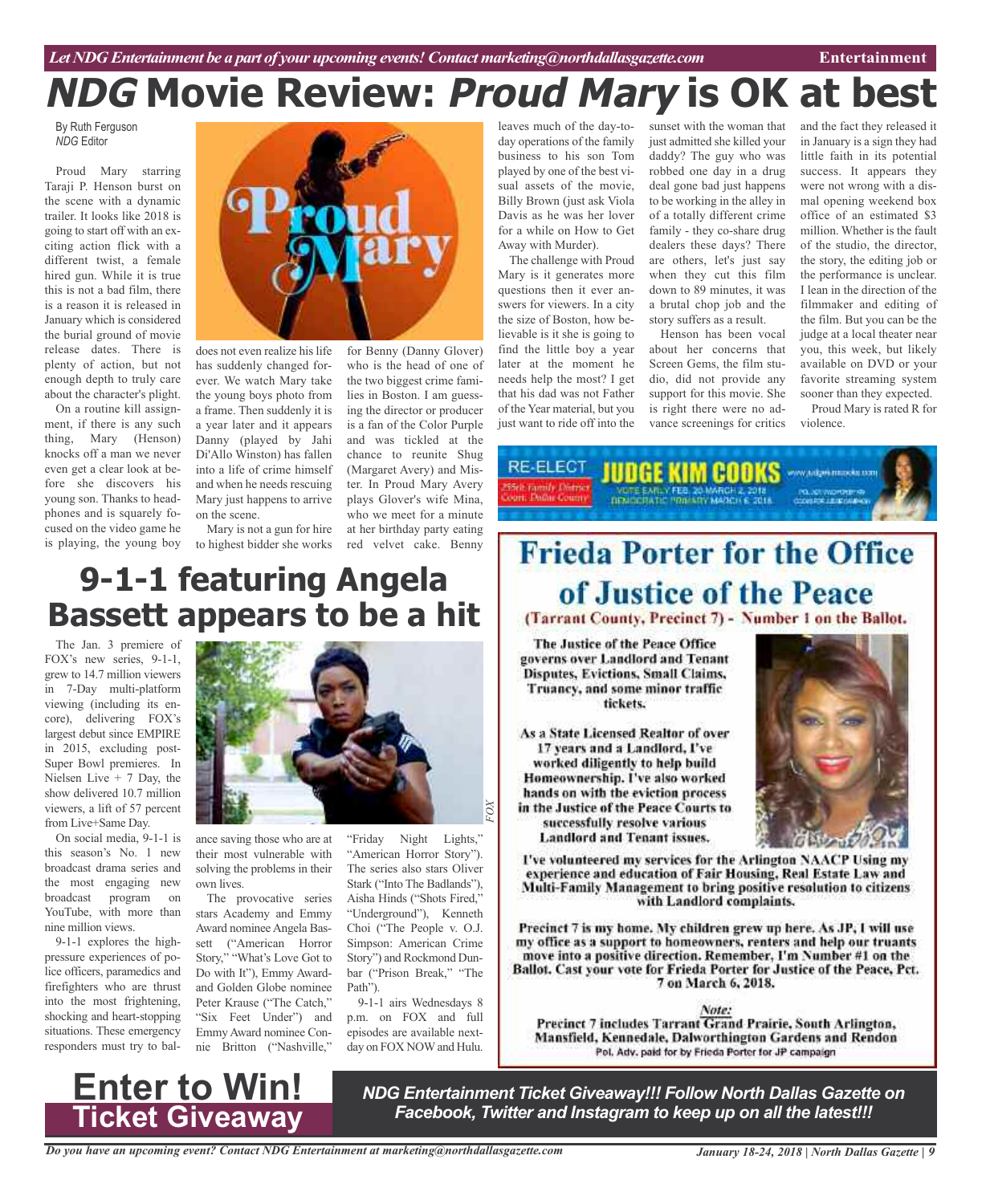# **NDG Movie Review: Proud Mary is OK at best**

By Ruth Ferguson *NDG* Editor

Proud Mary starring Taraji P. Henson burst on the scene with a dynamic trailer. It looks like 2018 is going to start off with an exciting action flick with a different twist, a female hired gun. While it is true this is not a bad film, there is a reason it is released in January which is considered the burial ground of movie release dates. There is plenty of action, but not enough depth to truly care about the character's plight.

On a routine kill assignment, if there is any such thing, Mary (Henson) knocks off a man we never even get a clear look at before she discovers his young son. Thanks to headphones and is squarely focused on the video game he is playing, the young boy



does not even realize his life has suddenly changed forever. We watch Mary take the young boys photo from a frame. Then suddenly it is a year later and it appears Danny (played by Jahi Di'Allo Winston) has fallen into a life of crime himself and when he needs rescuing Mary just happens to arrive on the scene.

Mary is not a gun for hire to highest bidder she works

ing the director or producer is a fan of the Color Purple and was tickled at the chance to reunite Shug (Margaret Avery) and Mister. In Proud Mary Avery plays Glover's wife Mina, who we meet for a minute at her birthday party eating red velvet cake. Benny

for Benny (Danny Glover) who is the head of one of the two biggest crime families in Boston. I am guess-

## **9-1-1 featuring Angela Bassett appears to be a hit**

The Jan. 3 premiere of FOX's new series, 9-1-1, grew to 14.7 million viewers in 7-Day multi-platform viewing (including its encore), delivering FOX's largest debut since EMPIRE in 2015, excluding post-Super Bowl premieres. In Nielsen Live  $+ 7$  Day, the show delivered 10.7 million viewers, a lift of 57 percent from Live+Same Day.

On social media, 9-1-1 is this season's No. 1 new broadcast drama series and the most engaging new broadcast program on YouTube, with more than nine million views.

9-1-1 explores the highpressure experiences of police officers, paramedics and firefighters who are thrust into the most frightening, shocking and heart-stopping situations. These emergency responders must try to bal-



ance saving those who are at their most vulnerable with solving the problems in their own lives.

The provocative series stars Academy and Emmy Award nominee Angela Bassett ("American Horror Story," "What's Love Got to Do with It"), Emmy Awardand Golden Globe nominee Peter Krause ("The Catch," "Six Feet Under") and Emmy Award nominee Connie Britton ("Nashville,"

"Friday Night Lights," "American Horror Story"). The series also stars Oliver Stark ("Into The Badlands"), Aisha Hinds ("Shots Fired," "Underground"), Kenneth Choi ("The People v. O.J. Simpson: American Crime Story") and Rockmond Dunbar ("Prison Break," "The Path").

*F OX*

9-1-1 airs Wednesdays 8 p.m. on FOX and full episodes are available nextday on FOX NOWand Hulu.

leaves much of the day-today operations of the family business to his son Tom played by one of the best visual assets of the movie, Billy Brown (just ask Viola Davis as he was her lover for a while on How to Get Away with Murder).

The challenge with Proud Mary is it generates more questions then it ever answers for viewers. In a city the size of Boston, how believable is it she is going to find the little boy a year later at the moment he needs help the most? I get that his dad was not Father of the Year material, but you just want to ride off into the

sunset with the woman that just admitted she killed your daddy? The guy who was robbed one day in a drug deal gone bad just happens to be working in the alley in of a totally different crime family - they co-share drug dealers these days? There are others, let's just say when they cut this film down to 89 minutes, it was a brutal chop job and the story suffers as a result.

Henson has been vocal about her concerns that Screen Gems, the film studio, did not provide any support for this movie. She is right there were no advance screenings for critics

and the fact they released it in January is a sign they had little faith in its potential success. It appears they were not wrong with a dismal opening weekend box office of an estimated \$3 million. Whether is the fault of the studio, the director, the story, the editing job or the performance is unclear. I lean in the direction of the filmmaker and editing of the film. But you can be the judge at a local theater near you, this week, but likely available on DVD or your favorite streaming system sooner than they expected.

Proud Mary is rated R for violence.

**RE-ELECT** JUDGE KIM CODKS w udgesmookuum

# **Frieda Porter for the Office** of Justice of the Peace

(Tarrant County, Precinct 7) - Number 1 on the Ballot.

The Justice of the Peace Office governs over Landlord and Tenant **Disputes, Evictions, Small Claims,** Truancy, and some minor traffic tickets.

As a State Licensed Realtor of over 17 years and a Landlord, I've worked diligently to help build Homeownership. I've also worked hands on with the eviction process in the Justice of the Peace Courts to successfully resolve various **Landlord and Tenant issues.** 



I've volunteered my services for the Arlington NAACP Using my experience and education of Fair Housing, Real Estate Law and Multi-Family Management to bring positive resolution to citizens with Landlord complaints.

Precinct 7 is my home. My children grew up here. As JP, I will use my office as a support to homeowners, renters and help our truants move into a positive direction. Remember, I'm Number #1 on the Ballot. Cast your vote for Frieda Porter for Justice of the Peace, Pct. 7 on March 6, 2018.

Note: Precinct 7 includes Tarrant Grand Prairie, South Arlington, Mansfield, Kennedale, Dalworthington Gardens and Rendon Pol. Adv. paid for by Frieda Porter for JP campaign

## **Enter to Win! Ticket Giveaway**

*NDG Entertainment Ticket Giveaway!!! Follow North Dallas Gazette on Facebook, Twitter and Instagram to keep up on all the latest!!!*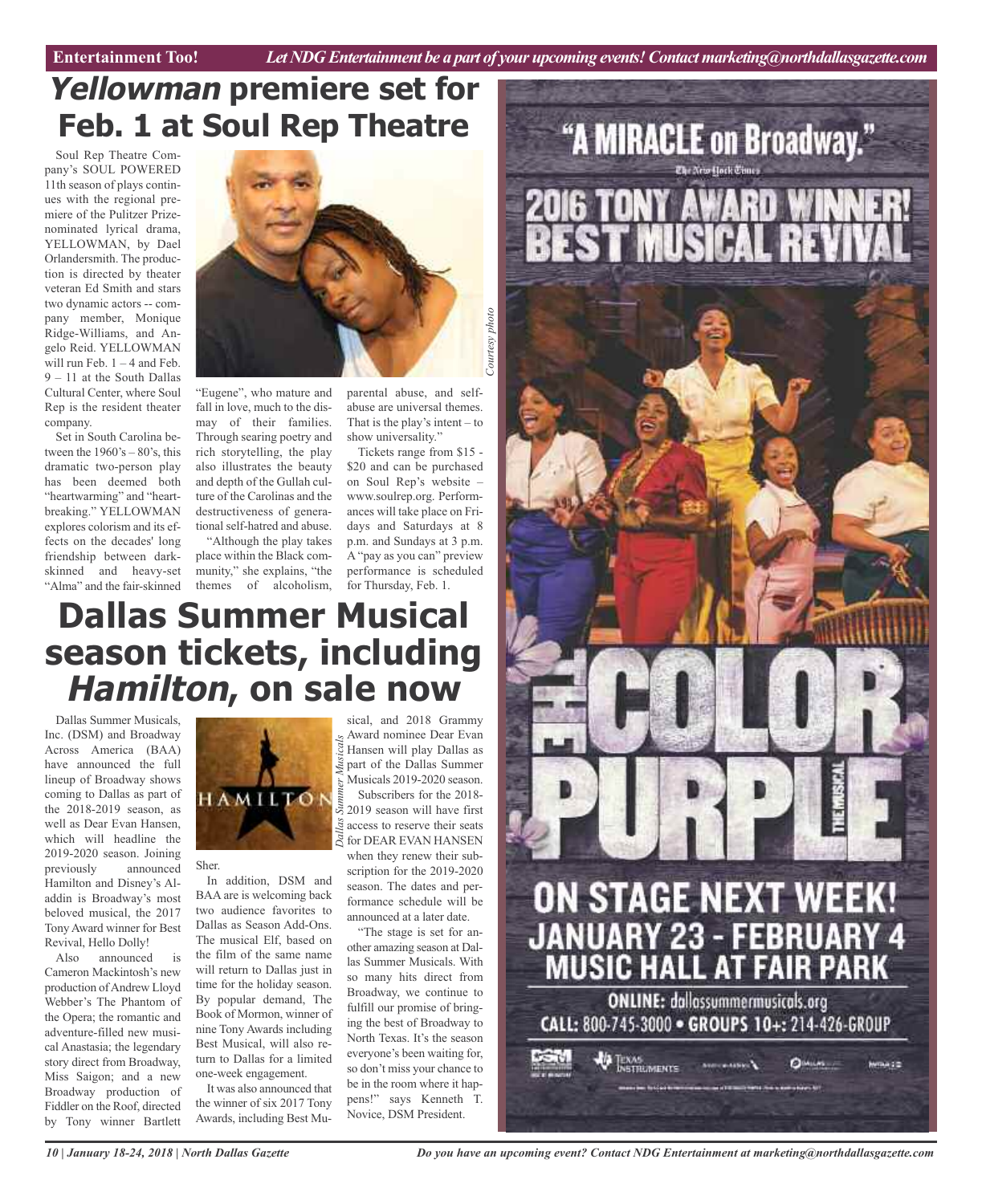## **Yellowman premiere set for Feb. 1 at Soul Rep Theatre**

Soul Rep Theatre Company's SOUL POWERED 11th season of plays continues with the regional premiere of the Pulitzer Prizenominated lyrical drama, YELLOWMAN, by Dael Orlandersmith. The production is directed by theater veteran Ed Smith and stars two dynamic actors -- company member, Monique Ridge-Williams, and Angelo Reid. YELLOWMAN will run Feb.  $1 - 4$  and Feb. 9 – 11 at the South Dallas Cultural Center, where Soul Rep is the resident theater company.

Set in South Carolina between the  $1960\text{'s} - 80\text{'s}$ , this dramatic two-person play has been deemed both "heartwarming" and "heartbreaking." YELLOWMAN explores colorism and its effects on the decades' long friendship between darkskinned and heavy-set "Alma" and the fair-skinned



"Eugene", who mature and fall in love, much to the dismay of their families. Through searing poetry and rich storytelling, the play also illustrates the beauty and depth of the Gullah culture of the Carolinas and the destructiveness of generational self-hatred and abuse.

"Although the play takes place within the Black community," she explains, "the themes of alcoholism,

parental abuse, and selfabuse are universal themes. That is the play's intent  $-$  to show universality."

Tickets range from \$15 - \$20 and can be purchased on Soul Rep's website – www.soulrep.org. Performances will take place on Fridays and Saturdays at 8 p.m. and Sundays at 3 p.m. A "pay as you can" preview performance is scheduled for Thursday, Feb. 1.

## **Dallas Summer Musical season tickets, including Hamilton, on sale now** sical, and 2018 Grammy

Dallas Summer Musicals, Inc. (DSM) and Broadway Across America (BAA) have announced the full lineup of Broadway shows coming to Dallas as part of the 2018-2019 season, as well as Dear Evan Hansen, which will headline the 2019-2020 season. Joining previously Hamilton and Disney's Aladdin is Broadway's most beloved musical, the 2017 Tony Award winner for Best Revival, Hello Dolly!

Also announced is Cameron Mackintosh's new production of Andrew Lloyd Webber's The Phantom of the Opera; the romantic and adventure-filled new musical Anastasia; the legendary story direct from Broadway, Miss Saigon; and a new Broadway production of Fiddler on the Roof, directed by Tony winner Bartlett



BAA are is welcoming back two audience favorites to Dallas as Season Add-Ons. The musical Elf, based on the film of the same name will return to Dallas just in time for the holiday season. By popular demand, The Book of Mormon, winner of nine Tony Awards including Best Musical, will also return to Dallas for a limited one-week engagement. It was also announced that the winner of six 2017 Tony Awards, including Best Mu-

Sher. In addition, DSM and

Award nominee Dear Evan  $\overline{S}$  Hansen will play Dallas as part of the Dallas Summer Musicals 2019-2020 season. Subscribers for the 2018- 2019 season will have first

 $\tilde{\mathcal{Z}}$  access to reserve their seats  $\mathbb{\widetilde{S}}$  for DEAR EVAN HANSEN when they renew their subscription for the 2019-2020 season. The dates and performance schedule will be announced at a later date.

"The stage is set for another amazing season at Dallas Summer Musicals. With so many hits direct from Broadway, we continue to fulfill our promise of bringing the best of Broadway to North Texas. It's the season everyone's been waiting for, so don't miss your chance to be in the room where it happens!" says Kenneth T. Novice, DSM President.



*Do you have an upcoming event? Contact NDG Entertainment at marketing@northdallasgazette.com*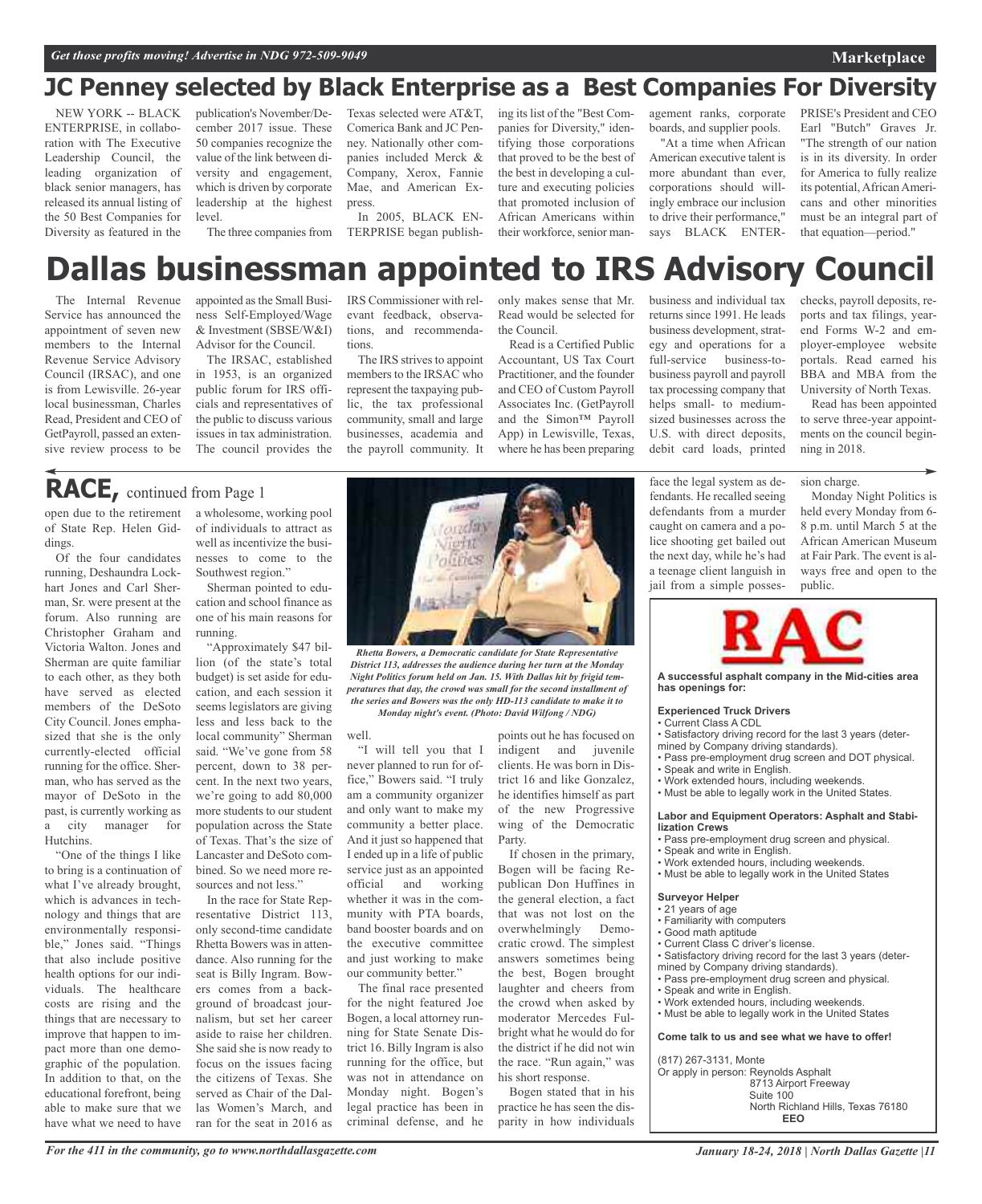### **Marketplace**

### **JC Penney selected by Black Enterprise as a Best Companies For Diversity**

NEW YORK -- BLACK ENTERPRISE, in collaboration with The Executive Leadership Council, the leading organization of black senior managers, has released its annual listing of the 50 Best Companies for Diversity as featured in the publication's November/December 2017 issue. These 50 companies recognize the value of the link between diversity and engagement, which is driven by corporate leadership at the highest level.

Texas selected were AT&T, Comerica Bank and JC Penney. Nationally other companies included Merck & Company, Xerox, Fannie Mae, and American Express.

The three companies from TERPRISE began publish-In 2005, BLACK EN- ing its list of the "Best Companies for Diversity," identifying those corporations that proved to be the best of the best in developing a culture and executing policies that promoted inclusion of African Americans within their workforce, senior man-

agement ranks, corporate boards, and supplier pools.

"At a time when African American executive talent is more abundant than ever, corporations should willingly embrace our inclusion to drive their performance," says BLACK ENTER-

PRISE's President and CEO Earl "Butch" Graves Jr. "The strength of our nation is in its diversity. In order for America to fully realize its potential, African Americans and other minorities must be an integral part of that equation—period."

## **Dallas businessman appointed to IRS Advisory Council**

The Internal Revenue Service has announced the appointment of seven new members to the Internal Revenue Service Advisory Council (IRSAC), and one is from Lewisville. 26-year local businessman, Charles Read, President and CEO of GetPayroll, passed an extensive review process to be appointed asthe Small Business Self-Employed/Wage & Investment (SBSE/W&I) Advisor for the Council.

The IRSAC, established in 1953, is an organized public forum for IRS officials and representatives of the public to discuss various issues in tax administration. The council provides the

IRS Commissioner with relevant feedback, observations, and recommendations.

The IRS strives to appoint members to the IRSAC who represent the taxpaying public, the tax professional community, small and large businesses, academia and the payroll community. It

only makes sense that Mr. Read would be selected for the Council.

Read is a Certified Public Accountant, US Tax Court Practitioner, and the founder and CEO of Custom Payroll Associates Inc. (GetPayroll and the Simon™ Payroll App) in Lewisville, Texas, where he has been preparing

business and individual tax returns since 1991. He leads business development, strategy and operations for a full-service business-tobusiness payroll and payroll tax processing company that helps small- to mediumsized businesses across the U.S. with direct deposits, debit card loads, printed

checks, payroll deposits, reports and tax filings, yearend Forms W-2 and employer-employee website portals. Read earned his BBA and MBA from the University of North Texas.

Read has been appointed to serve three-year appointments on the council beginning in 2018.

## **RACE,** continued from Page <sup>1</sup>

open due to the retirement of State Rep. Helen Giddings.

Of the four candidates running, Deshaundra Lockhart Jones and Carl Sherman, Sr. were present at the forum. Also running are Christopher Graham and Victoria Walton. Jones and Sherman are quite familiar to each other, as they both have served as elected members of the DeSoto City Council. Jones emphasized that she is the only currently-elected official running for the office. Sherman, who has served as the mayor of DeSoto in the past, is currently working as a city manager for Hutchins.

"One of the things I like to bring is a continuation of what I've already brought, which is advances in technology and things that are environmentally responsible," Jones said. "Things that also include positive health options for our individuals. The healthcare costs are rising and the things that are necessary to improve that happen to impact more than one demographic of the population. In addition to that, on the educational forefront, being able to make sure that we have what we need to have

a wholesome, working pool of individuals to attract as well as incentivize the businesses to come to the Southwest region."

Sherman pointed to education and school finance as one of his main reasons for running.

"Approximately \$47 billion (of the state's total budget) is set aside for education, and each session it seems legislators are giving less and less back to the local community" Sherman said. "We've gone from 58 percent, down to 38 percent. In the next two years, we're going to add 80,000 more students to our student population across the State of Texas. That's the size of Lancaster and DeSoto combined. So we need more resources and not less."

In the race for State Representative District 113, only second-time candidate Rhetta Bowers was in attendance. Also running for the seat is Billy Ingram. Bowers comes from a background of broadcast journalism, but set her career aside to raise her children. She said she is now ready to focus on the issues facing the citizens of Texas. She served as Chair of the Dallas Women's March, and ran for the seat in 2016 as



*Rhetta Bowers, a Democratic candidate for State Representative District 113, addresses the audience during her turn at the Monday Night Politics forum held on Jan. 15. With Dallas hit by frigid temperatures that day, the crowd was small for the second installment of the series and Bowers was the only HD-113 candidate to make it to Monday night's event. (Photo: David Wilfong / NDG)*

well.

"I will tell you that I never planned to run for office," Bowers said. "I truly am a community organizer and only want to make my community a better place. And it just so happened that I ended up in a life of public service just as an appointed official and working whether it was in the community with PTA boards, band booster boards and on the executive committee and just working to make our community better."

The final race presented for the night featured Joe Bogen, a local attorney running for State Senate District 16. Billy Ingram is also running for the office, but was not in attendance on Monday night. Bogen's legal practice has been in criminal defense, and he

indigent and juvenile clients. He was born in District 16 and like Gonzalez, he identifies himself as part of the new Progressive wing of the Democratic Party.

points out he has focused on

If chosen in the primary, Bogen will be facing Republican Don Huffines in the general election, a fact that was not lost on the overwhelmingly Democratic crowd. The simplest answers sometimes being the best, Bogen brought laughter and cheers from the crowd when asked by moderator Mercedes Fulbright what he would do for the district if he did not win the race. "Run again," was his short response.

Bogen stated that in his practice he has seen the disparity in how individuals

face the legal system as defendants. He recalled seeing defendants from a murder caught on camera and a police shooting get bailed out the next day, while he's had a teenage client languish in jail from a simple posses-

sion charge. Monday Night Politics is held every Monday from 6- 8 p.m. until March 5 at the African American Museum at Fair Park. The event is always free and open to the public.



**A successful asphalt company in the Mid-cities area has openings for:**

#### **Experienced Truck Drivers**

- Current Class A CDL • Satisfactory driving record for the last 3 years (deter-
- mined by Company driving standards). • Pass pre-employment drug screen and DOT physical.
- Speak and write in English.
- Work extended hours, including weekends.
- Must be able to legally work in the United States.
- 

#### **Labor and Equipment Operators: Asphalt and Stabilization Crews**

- Pass pre-employment drug screen and physical.
- Speak and write in English.
- Work extended hours, including weekends.
- Must be able to legally work in the United States

#### **Surveyor Helper**

- 21 years of age
- Familiarity with computers
- Good math aptitude
- Current Class C driver's license.
- Satisfactory driving record for the last 3 years (deter-
- mined by Company driving standards).
- Pass pre-employment drug screen and physical.
- Speak and write in English.
- Work extended hours, including weekends.
- Must be able to legally work in the United States

**Come talk to us and see what we have to offer!**

(817) 267-3131, Monte

Or apply in person: Reynolds Asphalt 8713 Airport Freeway Suite 100 North Richland Hills, Texas 76180 **EEO**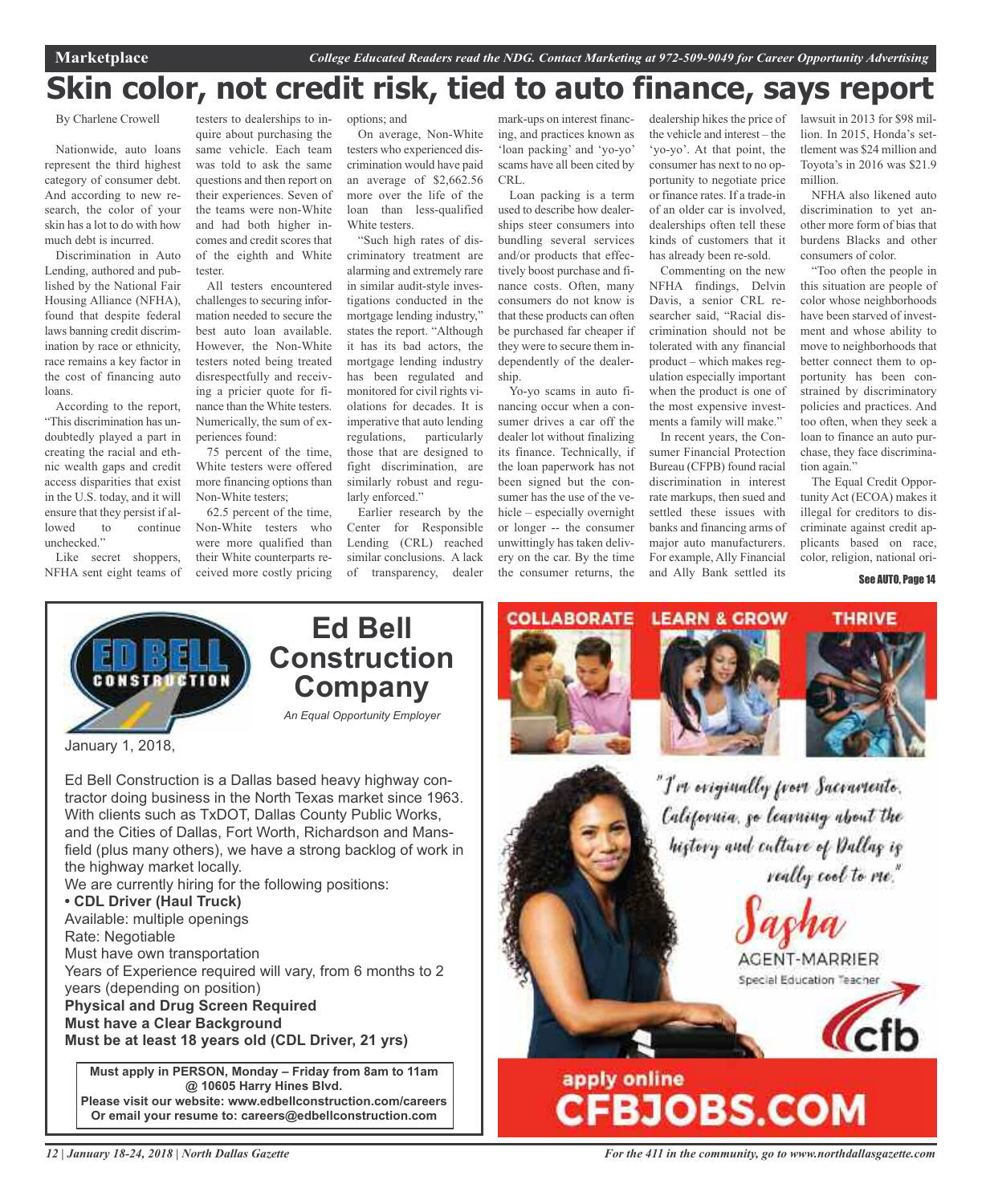## **Skin color, not credit risk, tied to auto finance, says report**

By Charlene Crowell

Nationwide, auto loans represent the third highest category of consumer debt. And according to new research, the color of your skin has a lot to do with how much debt is incurred.

Discrimination in Auto Lending, authored and published by the National Fair Housing Alliance (NFHA), found that despite federal laws banning credit discrimination by race or ethnicity, race remains a key factor in the cost of financing auto loans.

According to the report, "This discrimination has undoubtedly played a part in creating the racial and ethnic wealth gaps and credit access disparities that exist in the U.S. today, and it will ensure that they persist if allowed to continue unchecked."

Like secret shoppers, NFHA sent eight teams of

testers to dealerships to inquire about purchasing the same vehicle. Each team was told to ask the same questions and then report on their experiences. Seven of the teams were non-White and had both higher incomes and credit scores that of the eighth and White tester.

All testers encountered challenges to securing information needed to secure the best auto loan available. However, the Non-White testers noted being treated disrespectfully and receiving a pricier quote for finance than the White testers. Numerically, the sum of experiences found:

75 percent of the time, White testers were offered more financing options than Non-White testers;

62.5 percent of the time, Non-White testers who were more qualified than their White counterparts received more costly pricing options; and

On average, Non-White testers who experienced discrimination would have paid an average of \$2,662.56 more over the life of the loan than less-qualified White testers.

"Such high rates of discriminatory treatment are alarming and extremely rare in similar audit-style investigations conducted in the mortgage lending industry," states the report. "Although it has its bad actors, the mortgage lending industry has been regulated and monitored for civil rights violations for decades. It is imperative that auto lending regulations, particularly those that are designed to fight discrimination, are similarly robust and regularly enforced."

Earlier research by the Center for Responsible Lending (CRL) reached similar conclusions. A lack of transparency, dealer

mark-ups on interest financing, and practices known as 'loan packing' and 'yo-yo' scams have all been cited by CRL.

Loan packing is a term used to describe how dealerships steer consumers into bundling several services and/or products that effectively boost purchase and finance costs. Often, many consumers do not know is that these products can often be purchased far cheaper if they were to secure them independently of the dealership.

Yo-yo scams in auto financing occur when a consumer drives a car off the dealer lot without finalizing its finance. Technically, if the loan paperwork has not been signed but the consumer has the use of the vehicle – especially overnight or longer -- the consumer unwittingly has taken delivery on the car. By the time the consumer returns, the

dealership hikes the price of lawsuit in 2013 for \$98 milthe vehicle and interest – the 'yo-yo'. At that point, the consumer has next to no opportunity to negotiate price or finance rates. If a trade-in of an older car is involved, dealerships often tell these kinds of customers that it has already been re-sold.

Commenting on the new NFHA findings, Delvin Davis, a senior CRL researcher said, "Racial discrimination should not be tolerated with any financial product – which makes regulation especially important when the product is one of the most expensive investments a family will make."

In recent years, the Consumer Financial Protection Bureau (CFPB) found racial discrimination in interest rate markups, then sued and settled these issues with banks and financing arms of major auto manufacturers. For example, Ally Financial and Ally Bank settled its

lion. In 2015, Honda's settlement was \$24 million and Toyota's in 2016 was \$21.9 million.

NFHA also likened auto discrimination to yet another more form of bias that burdens Blacks and other consumers of color.

"Too often the people in this situation are people of color whose neighborhoods have been starved of investment and whose ability to move to neighborhoods that better connect them to opportunity has been constrained by discriminatory policies and practices. And too often, when they seek a loan to finance an auto purchase, they face discrimination again."

The Equal Credit Opportunity Act (ECOA) makes it illegal for creditors to discriminate against credit applicants based on race, color, religion, national ori-

See AUTO, Page 14



January 1, 2018,

Ed Bell Construction is a Dallas based heavy highway contractor doing business in the North Texas market since 1963. With clients such as TxDOT, Dallas County Public Works, and the Cities of Dallas, Fort Worth, Richardson and Mansfield (plus many others), we have a strong backlog of work in the highway market locally.

We are currently hiring for the following positions:

### **• CDL Driver (Haul Truck)**

Available: multiple openings Rate: Negotiable Must have own transportation Years of Experience required will vary, from 6 months to 2 years (depending on position) **Physical and Drug Screen Required Must have a Clear Background**

**Must be at least 18 years old (CDL Driver, 21 yrs)**

**Must apply in PERSON, Monday – Friday from 8am to 11am @ 10605 Harry Hines Blvd. Please visit our website: www.edbellconstruction.com/careers Or email your resume to: careers@edbellconstruction.com**



*12 | January 18-24, 2018 | North Dallas Gazette*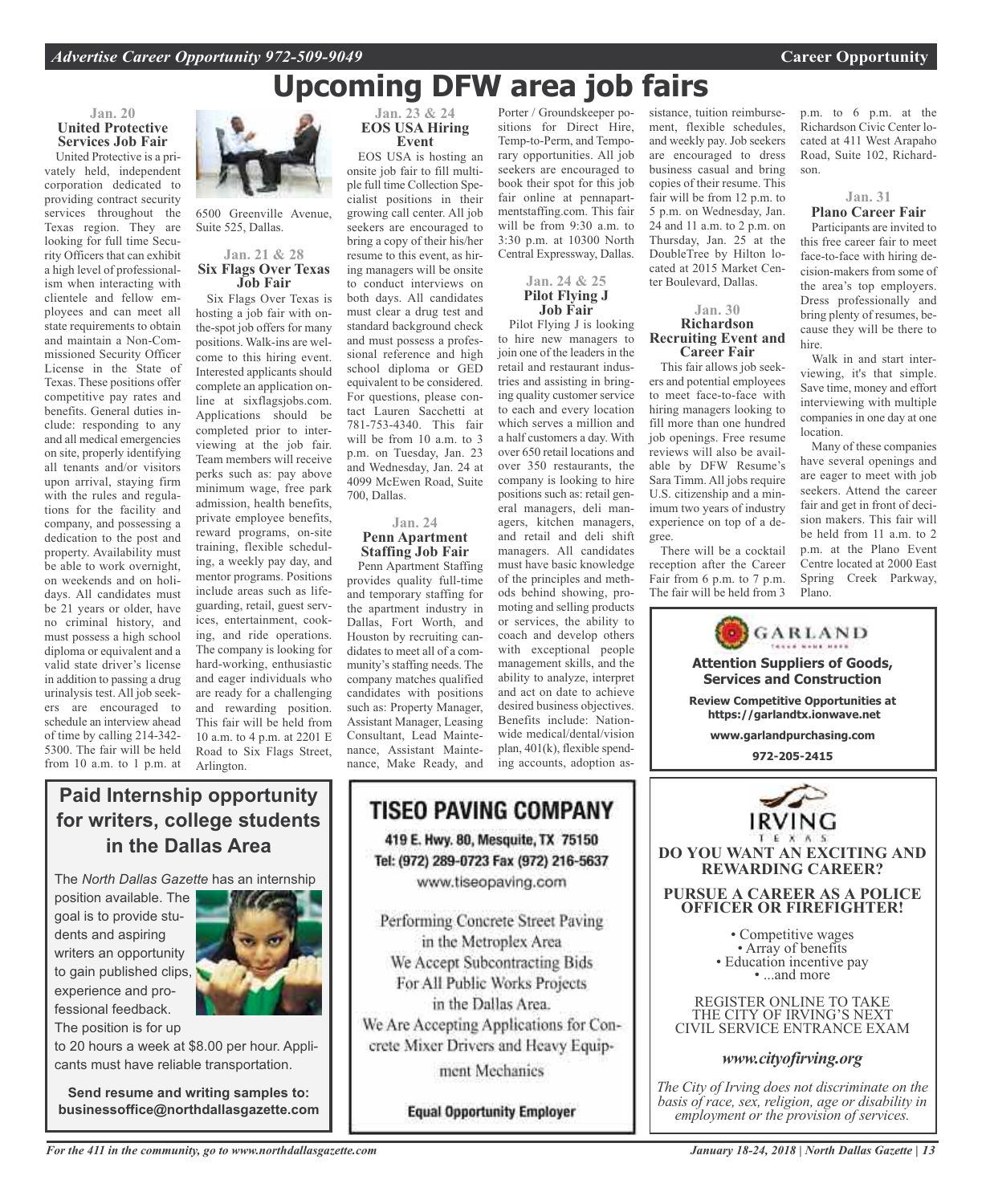## **Upcoming DFW area job fairs**

### **Jan. 20 United Protective Services Job Fair**

United Protective is a privately held, independent corporation dedicated to providing contract security services throughout the Texas region. They are looking for full time Security Officers that can exhibit a high level of professionalism when interacting with clientele and fellow employees and can meet all state requirements to obtain and maintain a Non-Commissioned Security Officer License in the State of Texas. These positions offer competitive pay rates and benefits. General duties include: responding to any and all medical emergencies on site, properly identifying all tenants and/or visitors upon arrival, staying firm with the rules and regulations for the facility and company, and possessing a dedication to the post and property. Availability must be able to work overnight, on weekends and on holidays. All candidates must be 21 years or older, have no criminal history, and must possess a high school diploma or equivalent and a valid state driver's license in addition to passing a drug urinalysis test. All job seekers are encouraged to schedule an interview ahead of time by calling 214-342- 5300. The fair will be held from 10 a.m. to 1 p.m. at



6500 Greenville Avenue, Suite 525, Dallas.

#### **Jan. 21 & 28 Six Flags Over Texas Job Fair**

Six Flags Over Texas is hosting a job fair with onthe-spot job offers for many positions. Walk-ins are welcome to this hiring event. Interested applicants should complete an application online at sixflagsjobs.com. Applications should be completed prior to interviewing at the job fair. Team members will receive perks such as: pay above minimum wage, free park admission, health benefits, private employee benefits, reward programs, on-site training, flexible scheduling, a weekly pay day, and mentor programs. Positions include areas such as lifeguarding, retail, guest services, entertainment, cooking, and ride operations. The company is looking for hard-working, enthusiastic and eager individuals who are ready for a challenging and rewarding position. This fair will be held from 10 a.m. to 4 p.m. at 2201 E Road to Six Flags Street, Arlington.

#### **Jan. 23 & 24 EOS USA Hiring Event**

EOS USA is hosting an onsite job fair to fill multiple full time Collection Specialist positions in their growing call center. All job seekers are encouraged to bring a copy of their his/her resume to this event, as hiring managers will be onsite to conduct interviews on both days. All candidates must clear a drug test and standard background check and must possess a professional reference and high school diploma or GED equivalent to be considered. For questions, please contact Lauren Sacchetti at 781-753-4340. This fair will be from 10 a.m. to 3 p.m. on Tuesday, Jan. 23 and Wednesday, Jan. 24 at 4099 McEwen Road, Suite 700, Dallas.

#### **Jan. 24 Penn Apartment Staffing Job Fair**

Penn Apartment Staffing provides quality full-time and temporary staffing for the apartment industry in Dallas, Fort Worth, and Houston by recruiting candidates to meet all of a community's staffing needs. The company matches qualified candidates with positions such as: Property Manager, Assistant Manager, Leasing Consultant, Lead Maintenance, Assistant Maintenance, Make Ready, and

Porter / Groundskeeper positions for Direct Hire, Temp-to-Perm, and Temporary opportunities. All job seekers are encouraged to book their spot for this job fair online at pennapartmentstaffing.com. This fair will be from 9:30 a.m. to 3:30 p.m. at 10300 North Central Expressway, Dallas.

### **Jan. 24 & 25 Pilot Flying J Job Fair**

Pilot Flying J is looking to hire new managers to join one of the leaders in the retail and restaurant industries and assisting in bringing quality customer service to each and every location which serves a million and a half customers a day. With over 650 retail locations and over 350 restaurants, the company is looking to hire positions such as: retail general managers, deli managers, kitchen managers, and retail and deli shift managers. All candidates must have basic knowledge of the principles and methods behind showing, promoting and selling products or services, the ability to coach and develop others with exceptional people management skills, and the ability to analyze, interpret and act on date to achieve desired business objectives. Benefits include: Nationwide medical/dental/vision plan, 401(k), flexible spending accounts, adoption assistance, tuition reimbursement, flexible schedules, and weekly pay. Job seekers are encouraged to dress business casual and bring copies of their resume. This fair will be from 12 p.m. to 5 p.m. on Wednesday, Jan. 24 and 11 a.m. to 2 p.m. on Thursday, Jan. 25 at the DoubleTree by Hilton located at 2015 Market Center Boulevard, Dallas.

#### **Jan. 30 Richardson Recruiting Event and Career Fair**

This fair allows job seekers and potential employees to meet face-to-face with hiring managers looking to fill more than one hundred job openings. Free resume reviews will also be available by DFW Resume's Sara Timm. All jobs require U.S. citizenship and a minimum two years of industry experience on top of a degree.

There will be a cocktail reception after the Career Fair from 6 p.m. to 7 p.m. The fair will be held from 3

> **Attention Suppliers of Goods, Services and Construction Review Competitive Opportunities at https://garlandtx.ionwave.net www.garlandpurchasing.com 972-205-2415**

GARLAND

**DO YOU WANT AN EXCITING AND REWARDING CAREER?**

**PURSUE A CAREER AS A POLICE OFFICER OR FIREFIGHTER!**

• Competitive wages<br>• Array of benefits<br>• Education incentive pay<br>• ...and more

REGISTER ONLINE TO TAKE THE CITY OF IRVING'S NEXT CIVIL SERVICE ENTRANCE EXAM

*www.cityofirving.org*

*The City of Irving does not discriminate on the basis of race, sex, religion, age or disability in employment or the provision of services.*

p.m. to 6 p.m. at the Richardson Civic Center located at 411 West Arapaho Road, Suite 102, Richardson.

### **Jan. 31 Plano Career Fair**

Participants are invited to this free career fair to meet face-to-face with hiring decision-makers from some of the area's top employers. Dress professionally and bring plenty of resumes, because they will be there to hire.

Walk in and start interviewing, it's that simple. Save time, money and effort interviewing with multiple companies in one day at one location.

Many of these companies have several openings and are eager to meet with job seekers. Attend the career fair and get in front of decision makers. This fair will be held from 11 a.m. to 2 p.m. at the Plano Event Centre located at 2000 East Spring Creek Parkway, Plano.

**Paid Internship opportunity for writers, college students in the Dallas Area**

The *North Dallas Gazette* has an internship

position available. The goal is to provide students and aspiring writers an opportunity to gain published clips, experience and professional feedback. The position is for up



to 20 hours a week at \$8.00 per hour. Applicants must have reliable transportation.

**Send resume and writing samples to: businessoffice@northdallasgazette.com**

### **TISEO PAVING COMPANY** 419 E. Hwy. 80, Mesquite, TX 75150 Tel: (972) 289-0723 Fax (972) 216-5637 www.tiseopaving.com

Performing Concrete Street Paving in the Metroplex Area We Accept Subcontracting Bids For All Public Works Projects in the Dallas Area. We Are Accepting Applications for Concrete Mixer Drivers and Heavy Equipment Mechanics

**Equal Opportunity Employer** 

*For the 411 in the community, go to www.northdallasgazette.com*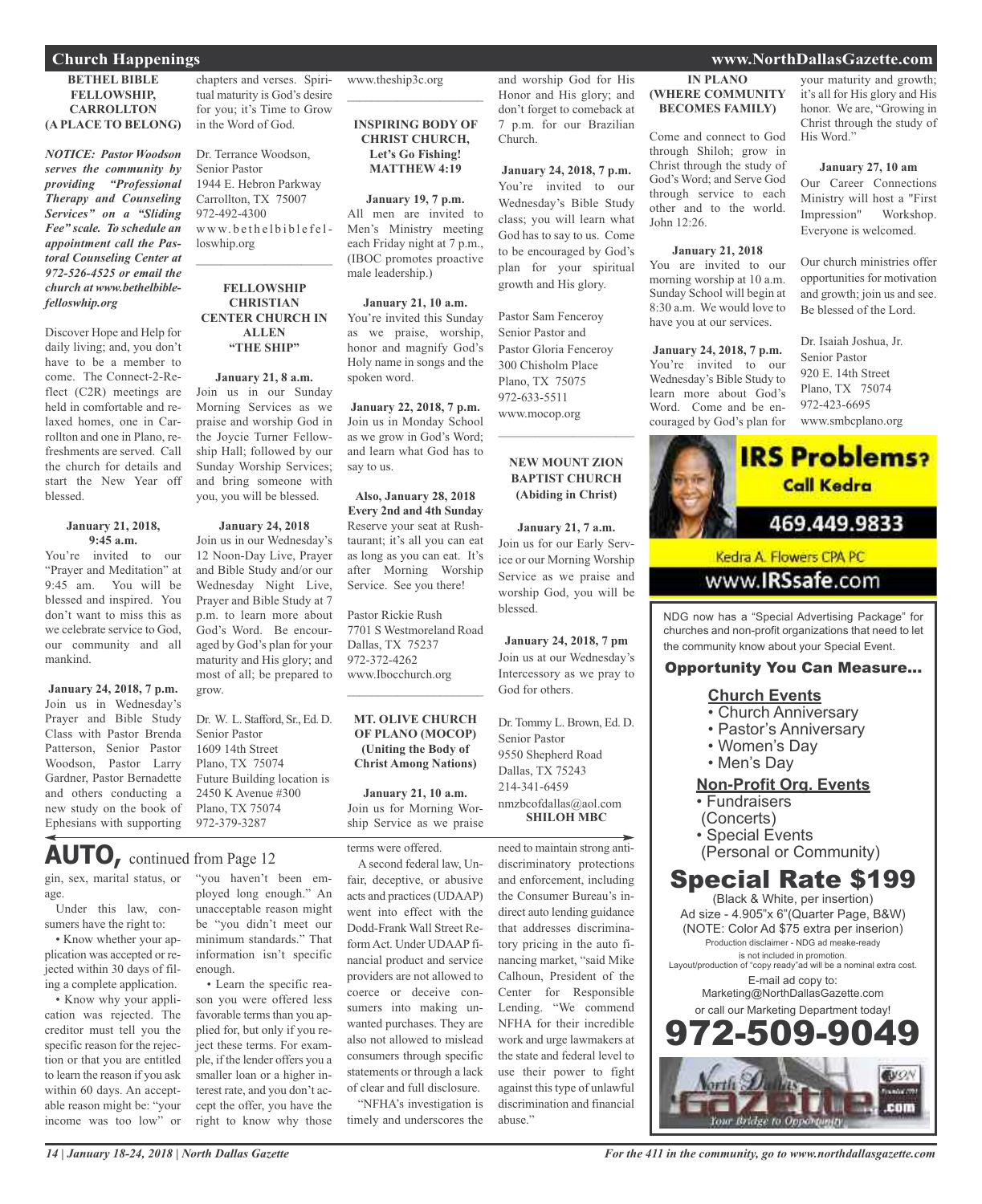### **BETHEL BIBLE FELLOWSHIP, CARROLLTON (A PLACE TO BELONG)**

*NOTICE: Pastor Woodson serves the community by providing "Professional Therapy and Counseling Services" on a "Sliding Fee" scale. To schedule an appointment call the Pastoral Counseling Center at 972-526-4525 or email the church at www.bethelbiblefelloswhip.org*

Discover Hope and Help for daily living; and, you don't have to be a member to come. The Connect-2-Reflect (C2R) meetings are held in comfortable and relaxed homes, one in Carrollton and one in Plano, refreshments are served. Call the church for details and start the New Year off blessed.

#### **January 21, 2018, 9:45 a.m.**

You're invited to our "Prayer and Meditation" at 9:45 am. You will be blessed and inspired. You don't want to miss this as we celebrate service to God, our community and all mankind.

**January 24, 2018, 7 p.m.** Join us in Wednesday's Prayer and Bible Study Class with Pastor Brenda Patterson, Senior Pastor Woodson, Pastor Larry Gardner, Pastor Bernadette and others conducting a new study on the book of Ephesians with supporting

chapters and verses. Spiritual maturity is God's desire for you; it's Time to Grow in the Word of God.

Dr. Terrance Woodson, Senior Pastor 1944 E. Hebron Parkway Carrollton, TX 75007 972-492-4300 www.bethelbiblefelloswhip.org  $\mathcal{L}_\text{max}$  , which is a set of the set of the set of the set of the set of the set of the set of the set of the set of the set of the set of the set of the set of the set of the set of the set of the set of the set of

### **FELLOWSHIP CHRISTIAN CENTER CHURCH IN ALLEN "THE SHIP"**

**January 21, 8 a.m.** Join us in our Sunday Morning Services as we praise and worship God in the Joycie Turner Fellowship Hall; followed by our Sunday Worship Services; and bring someone with you, you will be blessed.

### **January 24, 2018**

Join us in our Wednesday's 12 Noon-Day Live, Prayer and Bible Study and/or our Wednesday Night Live, Prayer and Bible Study at 7 p.m. to learn more about God's Word. Be encouraged by God's plan for your maturity and His glory; and most of all; be prepared to grow.

Dr. W. L. Stafford, Sr., Ed. D. Senior Pastor 1609 14th Street Plano, TX 75074 Future Building location is 2450 K Avenue #300 Plano, TX 75074 972-379-3287

### **AUTO,** continued from Page <sup>12</sup>

gin, sex, marital status, or age.

Under this law, consumers have the right to:

• Know whether your application was accepted or rejected within 30 days of filing a complete application.

• Know why your application was rejected. The creditor must tell you the specific reason for the rejection or that you are entitled to learn the reason if you ask within 60 days. An acceptable reason might be: "your income was too low" or

"you haven't been employed long enough." An unacceptable reason might be "you didn't meet our minimum standards." That information isn't specific enough.

• Learn the specific reason you were offered less favorable terms than you applied for, but only if you reject these terms. For example, if the lender offers you a smaller loan or a higher interest rate, and you don't accept the offer, you have the right to know why those www.theship3c.org

**INSPIRING BODY OF CHRIST CHURCH, Let's Go Fishing! MATTHEW 4:19**

 $\overline{\phantom{a}}$  , which is a set of the set of the set of the set of the set of the set of the set of the set of the set of the set of the set of the set of the set of the set of the set of the set of the set of the set of th

**January 19, 7 p.m.** All men are invited to Men's Ministry meeting each Friday night at 7 p.m., (IBOC promotes proactive male leadership.)

**January 21, 10 a.m.** You're invited this Sunday as we praise, worship, honor and magnify God's Holy name in songs and the spoken word.

**January 22, 2018, 7 p.m.** Join us in Monday School as we grow in God's Word; and learn what God has to say to us.

**Also, January 28, 2018 Every 2nd and 4th Sunday** Reserve your seat at Rushtaurant; it's all you can eat as long as you can eat. It's after Morning Worship Service. See you there!

Pastor Rickie Rush 7701 S Westmoreland Road Dallas, TX 75237 972-372-4262 www.Ibocchurch.org  $\overline{\phantom{a}}$  , which is a set of the set of the set of the set of the set of the set of the set of the set of the set of the set of the set of the set of the set of the set of the set of the set of the set of the set of th

### **MT. OLIVE CHURCH OF PLANO (MOCOP) (Uniting the Body of Christ Among Nations)**

**January 21, 10 a.m.** Join us for Morning Worship Service as we praise

terms were offered.

A second federal law, Unfair, deceptive, or abusive acts and practices (UDAAP) went into effect with the Dodd-Frank Wall Street ReformAct. Under UDAAP financial product and service providers are not allowed to coerce or deceive consumers into making unwanted purchases. They are also not allowed to mislead consumers through specific statements or through a lack of clear and full disclosure.

timely and underscores the

and worship God for His Honor and His glory; and don't forget to comeback at 7 p.m. for our Brazilian Church. **(WHERE COMMUNITY** Come and connect to God

**January 24, 2018, 7 p.m.** You're invited to our Wednesday's Bible Study class; you will learn what God has to say to us. Come to be encouraged by God's plan for your spiritual growth and His glory.

Pastor Sam Fenceroy Senior Pastor and Pastor Gloria Fenceroy 300 Chisholm Place Plano, TX 75075 972-633-5511 www.mocop.org

### **NEW MOUNT ZION BAPTIST CHURCH (Abiding in Christ)**

 $\overline{\phantom{a}}$  , and the set of the set of the set of the set of the set of the set of the set of the set of the set of the set of the set of the set of the set of the set of the set of the set of the set of the set of the s

**January 21, 7 a.m.** Join us for our Early Service or our Morning Worship Service as we praise and worship God, you will be blessed.

**January 24, 2018, 7 pm** Join us at our Wednesday's Intercessory as we pray to God for others.

Dr. Tommy L. Brown, Ed. D. Senior Pastor 9550 Shepherd Road Dallas, TX 75243 214-341-6459 nmzbcofdallas@aol.com **SHILOH MBC**

need to maintain strong antidiscriminatory protections and enforcement, including the Consumer Bureau's indirect auto lending guidance that addresses discriminatory pricing in the auto financing market, "said Mike Calhoun, President of the Center for Responsible Lending. "We commend NFHA for their incredible work and urge lawmakers at the state and federal level to use their power to fight against this type of unlawful discrimination and financial abuse."

### **Church Happenings www.NorthDallasGazette.com**

**IN PLANO**

**BECOMES FAMILY)**

through Shiloh; grow in Christ through the study of God's Word; and Serve God through service to each other and to the world.

**January 21, 2018** You are invited to our morning worship at 10 a.m. Sunday School will begin at 8:30 a.m. We would love to have you at our services.

**January 24, 2018, 7 p.m.** You're invited to our Wednesday's Bible Study to learn more about God's Word. Come and be en-

John 12:26.

your maturity and growth; it's all for His glory and His honor. We are, "Growing in Christ through the study of His Word."

### **January 27, 10 am**

Our Career Connections Ministry will host a "First Impression" Workshop. Everyone is welcomed.

Our church ministries offer opportunities for motivation and growth; join us and see. Be blessed of the Lord.

Dr. Isaiah Joshua, Jr. Senior Pastor 920 E. 14th Street Plano, TX 75074 972-423-6695 www.smbcplano.org



NDG now has a "Special Advertising Package" for churches and non-profit organizations that need to let the community know about your Special Event.

### Opportunity You Can Measure...

### **Church Events**

- Church Anniversary
- Pastor's Anniversary
- Women's Day
- Men's Day

**Non-Profit Org. Events**

- Fundraisers
- (Concerts)
- Special Events
- (Personal or Community)

### Special Rate \$199

(Black & White, per insertion) Ad size - 4.905"x 6"(Quarter Page, B&W) (NOTE: Color Ad \$75 extra per inserion) Production disclaimer - NDG ad meake-ready is not included in promotion. Layout/production of "copy ready"ad will be a nominal extra cost. E-mail ad copy to: Marketing@NorthDallasGazette.com or call our Marketing Department today! 972-509-90



"NFHA's investigation is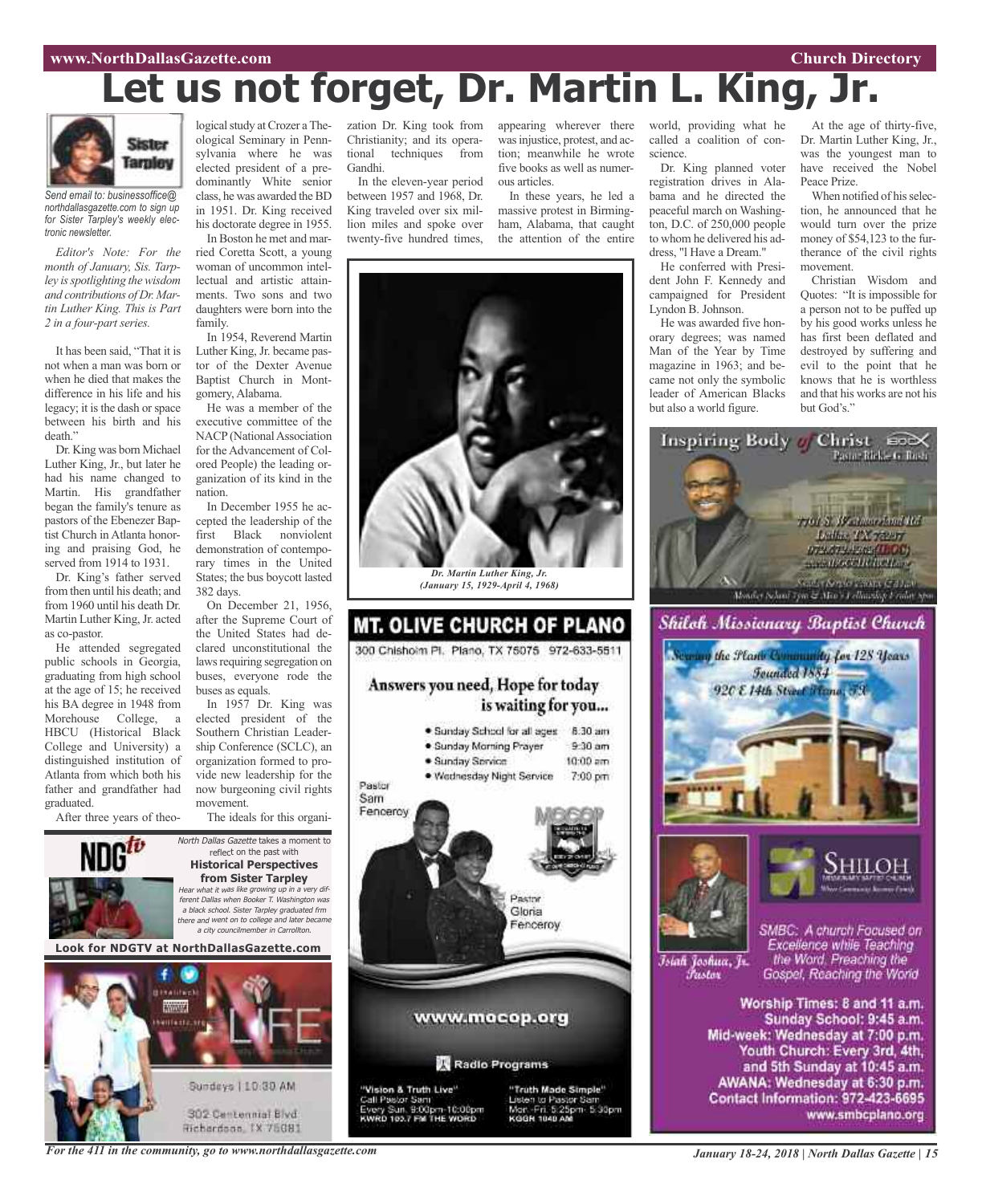# **Let us not forget, Dr. Martin L. King, Jr.**



*Send email to: businessoffice@ northdallasgazette.com to sign up for Sister Tarpley's weekly electronic newsletter.*

*Editor's Note: For the month of January, Sis. Tarpley isspotlighting thewisdom and contributions of Dr. Martin Luther King. This is Part 2 in a four-part series.*

It has been said, "That it is not when a man was born or when he died that makes the difference in his life and his legacy; it is the dash or space between his birth and his death."

Dr. King was born Michael Luther King, Jr., but later he had his name changed to Martin. His grandfather began the family's tenure as pastors of the Ebenezer Baptist Church in Atlanta honoring and praising God, he served from 1914 to 1931.

Dr. King's father served from then until his death; and from 1960 until his death Dr. Martin Luther King, Jr. acted as co-pastor.

He attended segregated public schools in Georgia, graduating from high school at the age of 15; he received his BA degree in 1948 from Morehouse College, a HBCU (Historical Black College and University) a distinguished institution of Atlanta from which both his father and grandfather had graduated.

After three years of theo-

logical study at Crozer a Theological Seminary in Pennsylvania where he was elected president of a predominantly White senior class, he was awarded theBD in 1951. Dr. King received his doctorate degree in 1955. In Boston he met and mar-

ried Coretta Scott, a young woman of uncommon intellectual and artistic attainments. Two sons and two daughters were born into the family.

In 1954, Reverend Martin Luther King, Jr. became pastor of the Dexter Avenue Baptist Church in Montgomery, Alabama.

He was a member of the executive committee of the NACP (National Association for the Advancement of Colored People) the leading organization of its kind in the nation.

In December 1955 he accepted the leadership of the first Black nonviolent demonstration of contemporary times in the United States; the bus boycott lasted 382 days.

On December 21, 1956, after the Supreme Court of the United States had declared unconstitutional the laws requiring segregation on buses, everyone rode the buses as equals.

In 1957 Dr. King was elected president of the Southern Christian Leadership Conference (SCLC), an organization formed to provide new leadership for the now burgeoning civil rights movement.

The ideals for this organi-





zation Dr. King took from Christianity; and its operational techniques from Gandhi.

In the eleven-year period between 1957 and 1968, Dr. King traveled over six million miles and spoke over twenty-five hundred times,

appearing wherever there world, providing what he wasinjustice, protest, and action; meanwhile he wrote five books as well as numerous articles.

In these years, he led a massive protest in Birmingham, Alabama, that caught the attention of the entire



*Dr. Martin Luther King, Jr. (January 15, 1929-April 4, 1968)*



called a coalition of conscience.

Dr. King planned voter registration drives in Alabama and he directed the peaceful march on Washington, D.C. of 250,000 people to whom he delivered his address, "l Have a Dream."

He conferred with President John F. Kennedy and campaigned for President Lyndon B. Johnson.

He was awarded five honorary degrees; was named Man of the Year by Time magazine in 1963; and became not only the symbolic leader of American Blacks but also a world figure.

At the age of thirty-five, Dr. Martin Luther King, Jr., was the youngest man to have received the Nobel Peace Prize.

When notified of his selection, he announced that he would turn over the prize money of \$54,123 to the furtherance of the civil rights movement.

Christian Wisdom and Quotes: "It is impossible for a person not to be puffed up by his good works unless he has first been deflated and destroyed by suffering and evil to the point that he knows that he is worthless and that his works are not his but God's."



Mid-week: Wednesday at 7:00 p.m. Youth Church: Every 3rd, 4th, and 5th Sunday at 10:45 a.m. AWANA: Wednesday at 6:30 p.m. Contact Information: 972-423-6695 www.smbcplano.org

*For the 411 in the community, go to www.northdallasgazette.com*